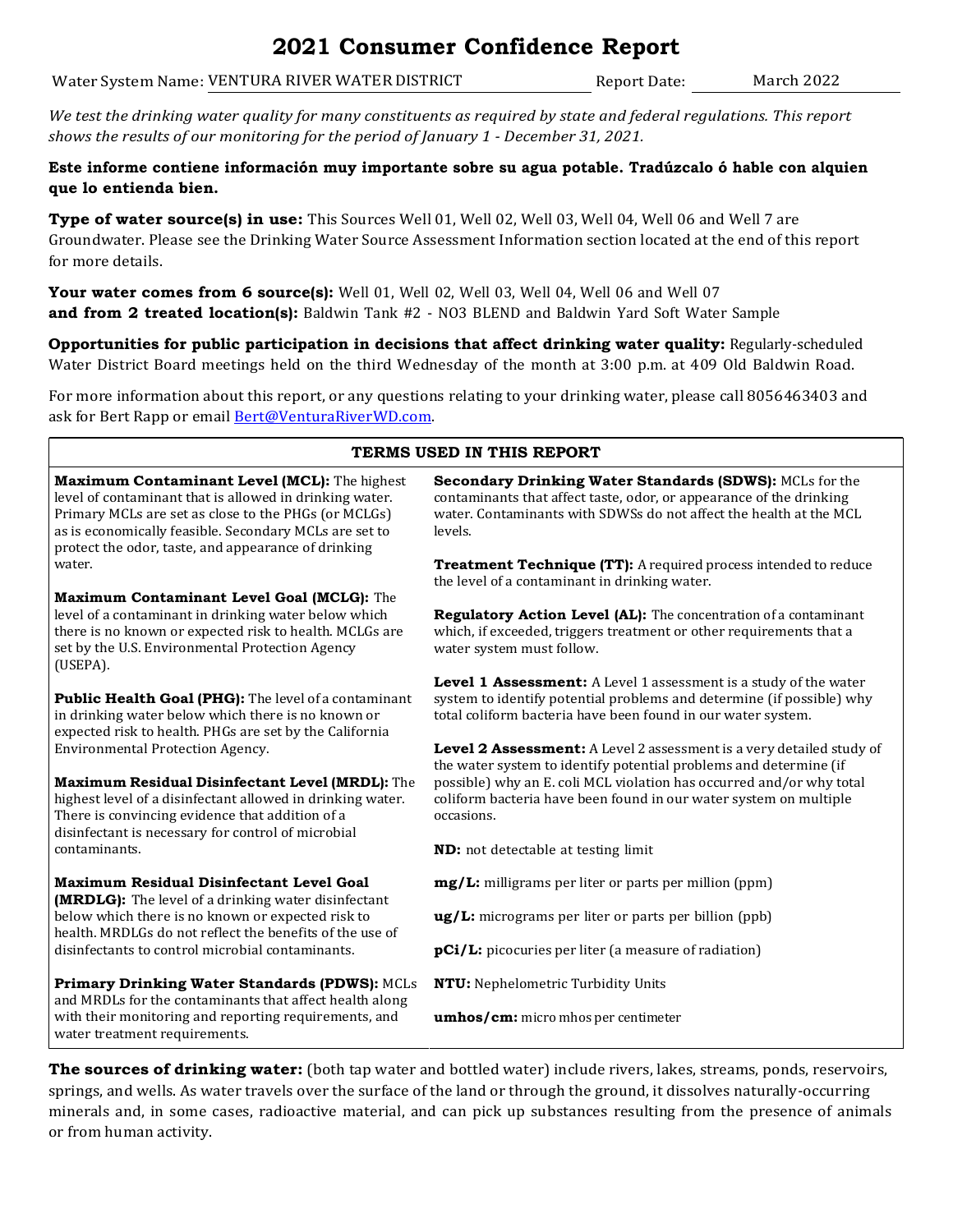## **2021 Consumer Confidence Report**

Water System Name: VENTURA RIVER WATER DISTRICT Report Date: March 2022

*We test the drinking water quality for many constituents as required by state and federal regulations. This report shows the results of our monitoring for the period of January 1 - December 31, 2021.*

**Este informe contiene información muy importante sobre su agua potable. Tradúzcalo ó hable con alquien que lo entienda bien.**

**Type of water source(s) in use:** This Sources Well 01, Well 02, Well 03, Well 04, Well 06 and Well 7 are Groundwater. Please see the Drinking Water Source Assessment Information section located at the end of this report for more details.

**Your water comes from 6 source(s):** Well 01, Well 02, Well 03, Well 04, Well 06 and Well 07 **and from 2 treated location(s):** Baldwin Tank #2 - NO3 BLEND and Baldwin Yard Soft Water Sample

**Opportunities for public participation in decisions that affect drinking water quality:** Regularly-scheduled Water District Board meetings held on the third Wednesday of the month at 3:00 p.m. at 409 Old Baldwin Road.

For more information about this report, or any questions relating to your drinking water, please call 8056463403 and ask for Bert Rapp or email **Bert@VenturaRiverWD.com**.

| TERMS USED IN THIS REPORT                                                                                                                                                                                                                                                        |                                                                                                                                                                                                                   |  |  |  |  |  |  |
|----------------------------------------------------------------------------------------------------------------------------------------------------------------------------------------------------------------------------------------------------------------------------------|-------------------------------------------------------------------------------------------------------------------------------------------------------------------------------------------------------------------|--|--|--|--|--|--|
| Maximum Contaminant Level (MCL): The highest<br>level of contaminant that is allowed in drinking water.<br>Primary MCLs are set as close to the PHGs (or MCLGs)<br>as is economically feasible. Secondary MCLs are set to<br>protect the odor, taste, and appearance of drinking | Secondary Drinking Water Standards (SDWS): MCLs for the<br>contaminants that affect taste, odor, or appearance of the drinking<br>water. Contaminants with SDWSs do not affect the health at the MCL<br>levels.   |  |  |  |  |  |  |
| water.                                                                                                                                                                                                                                                                           | Treatment Technique (TT): A required process intended to reduce<br>the level of a contaminant in drinking water.                                                                                                  |  |  |  |  |  |  |
| Maximum Contaminant Level Goal (MCLG): The                                                                                                                                                                                                                                       |                                                                                                                                                                                                                   |  |  |  |  |  |  |
| level of a contaminant in drinking water below which<br>there is no known or expected risk to health. MCLGs are<br>set by the U.S. Environmental Protection Agency<br>(USEPA).                                                                                                   | Regulatory Action Level (AL): The concentration of a contaminant<br>which, if exceeded, triggers treatment or other requirements that a<br>water system must follow.                                              |  |  |  |  |  |  |
| Public Health Goal (PHG): The level of a contaminant<br>in drinking water below which there is no known or<br>expected risk to health. PHGs are set by the California                                                                                                            | Level 1 Assessment: A Level 1 assessment is a study of the water<br>system to identify potential problems and determine (if possible) why<br>total coliform bacteria have been found in our water system.         |  |  |  |  |  |  |
| <b>Environmental Protection Agency.</b><br>Maximum Residual Disinfectant Level (MRDL): The                                                                                                                                                                                       | Level 2 Assessment: A Level 2 assessment is a very detailed study of<br>the water system to identify potential problems and determine (if<br>possible) why an E. coli MCL violation has occurred and/or why total |  |  |  |  |  |  |
| highest level of a disinfectant allowed in drinking water.<br>There is convincing evidence that addition of a<br>disinfectant is necessary for control of microbial                                                                                                              | coliform bacteria have been found in our water system on multiple<br>occasions.                                                                                                                                   |  |  |  |  |  |  |
| contaminants.                                                                                                                                                                                                                                                                    | ND: not detectable at testing limit                                                                                                                                                                               |  |  |  |  |  |  |
| <b>Maximum Residual Disinfectant Level Goal</b><br>(MRDLG): The level of a drinking water disinfectant                                                                                                                                                                           | mg/L: milligrams per liter or parts per million (ppm)                                                                                                                                                             |  |  |  |  |  |  |
| below which there is no known or expected risk to<br>health. MRDLGs do not reflect the benefits of the use of                                                                                                                                                                    | ug/L: micrograms per liter or parts per billion (ppb)                                                                                                                                                             |  |  |  |  |  |  |
| disinfectants to control microbial contaminants.                                                                                                                                                                                                                                 | pCi/L: picocuries per liter (a measure of radiation)                                                                                                                                                              |  |  |  |  |  |  |
| Primary Drinking Water Standards (PDWS): MCLs<br>and MRDLs for the contaminants that affect health along                                                                                                                                                                         | NTU: Nephelometric Turbidity Units                                                                                                                                                                                |  |  |  |  |  |  |
| with their monitoring and reporting requirements, and<br>water treatment requirements.                                                                                                                                                                                           | umhos/cm: micro mhos per centimeter                                                                                                                                                                               |  |  |  |  |  |  |
|                                                                                                                                                                                                                                                                                  |                                                                                                                                                                                                                   |  |  |  |  |  |  |

**The sources of drinking water:** (both tap water and bottled water) include rivers, lakes, streams, ponds, reservoirs, springs, and wells. As water travels over the surface of the land or through the ground, it dissolves naturally-occurring minerals and, in some cases, radioactive material, and can pick up substances resulting from the presence of animals or from human activity.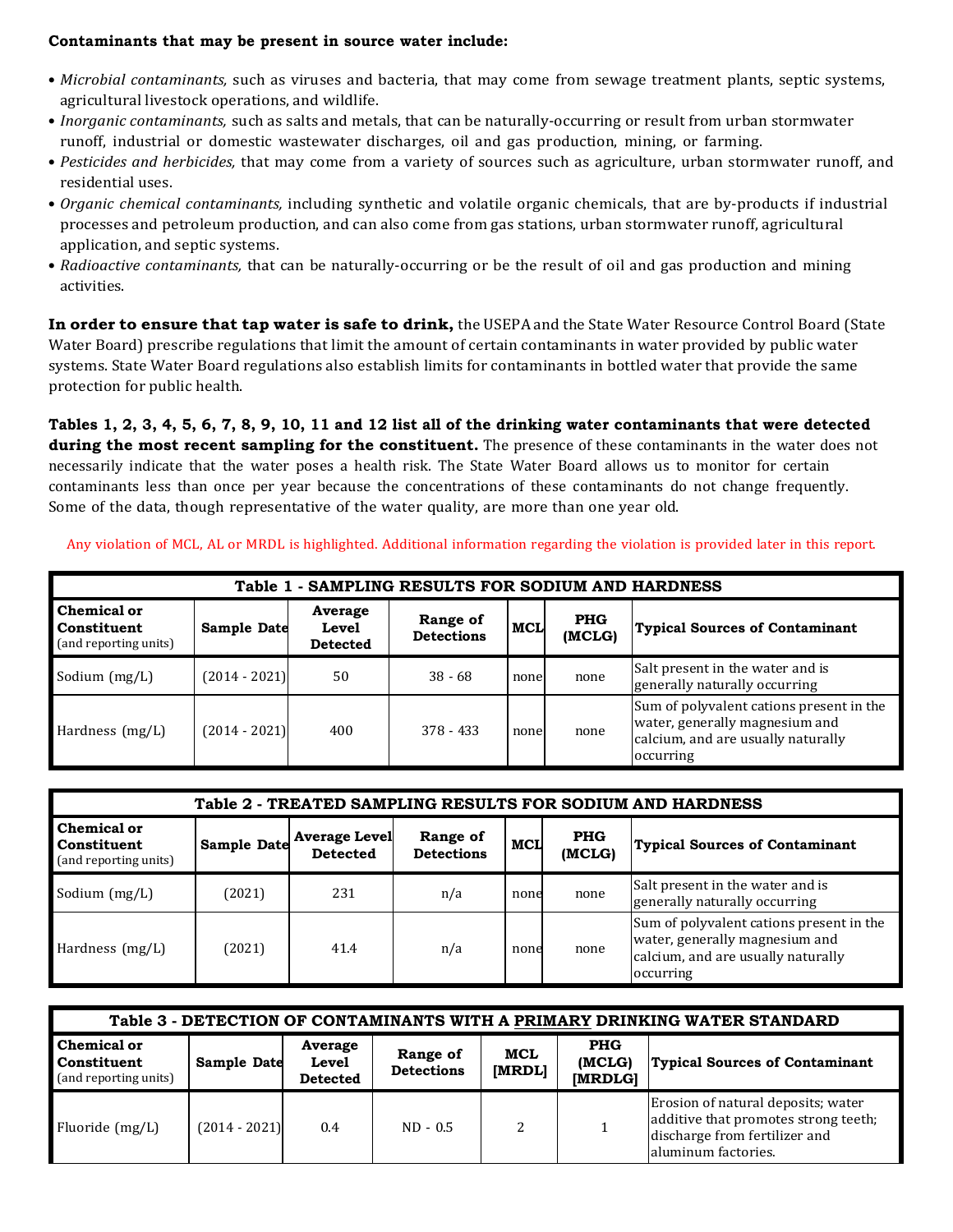## **Contaminants that may be present in source water include:**

- *Microbial contaminants,* such as viruses and bacteria, that may come from sewage treatment plants, septic systems, agricultural livestock operations, and wildlife.
- *Inorganic contaminants,* such as salts and metals, that can be naturally-occurring or result from urban stormwater runoff, industrial or domestic wastewater discharges, oil and gas production, mining, or farming.
- *Pesticides and herbicides,* that may come from a variety of sources such as agriculture, urban stormwater runoff, and residential uses.
- *Organic chemical contaminants,* including synthetic and volatile organic chemicals, that are by-products if industrial processes and petroleum production, and can also come from gas stations, urban stormwater runoff, agricultural application, and septic systems.
- *Radioactive contaminants,* that can be naturally-occurring or be the result of oil and gas production and mining activities.

**In order to ensure that tap water is safe to drink,** the USEPA and the State Water Resource Control Board (State Water Board) prescribe regulations that limit the amount of certain contaminants in water provided by public water systems. State Water Board regulations also establish limits for contaminants in bottled water that provide the same protection for public health.

**Tables 1, 2, 3, 4, 5, 6, 7, 8, 9, 10, 11 and 12 list all of the drinking water contaminants that were detected during the most recent sampling for the constituent.** The presence of these contaminants in the water does not necessarily indicate that the water poses a health risk. The State Water Board allows us to monitor for certain contaminants less than once per year because the concentrations of these contaminants do not change frequently. Some of the data, though representative of the water quality, are more than one year old.

Any violation of MCL, AL or MRDL is highlighted. Additional information regarding the violation is provided later in this report.

| Table 1 - SAMPLING RESULTS FOR SODIUM AND HARDNESS                                                                                                                                             |                 |     |             |      |      |                                                                                                                               |  |  |
|------------------------------------------------------------------------------------------------------------------------------------------------------------------------------------------------|-----------------|-----|-------------|------|------|-------------------------------------------------------------------------------------------------------------------------------|--|--|
| <b>Chemical or</b><br>Average<br><b>PHG</b><br>Range of<br><b>MCL</b><br><b>Constituent</b><br>Sample Date<br>Level<br>(MCLG)<br><b>Detections</b><br>(and reporting units)<br><b>Detected</b> |                 |     |             |      |      | <b>Typical Sources of Contaminant</b>                                                                                         |  |  |
| Sodium (mg/L)                                                                                                                                                                                  | $(2014 - 2021)$ | 50  | $38 - 68$   | none | none | Salt present in the water and is<br>generally naturally occurring                                                             |  |  |
| Hardness $(mg/L)$                                                                                                                                                                              | $(2014 - 2021)$ | 400 | $378 - 433$ | none | none | Sum of polyvalent cations present in the<br>water, generally magnesium and<br>calcium, and are usually naturally<br>occurring |  |  |

| Table 2 - TREATED SAMPLING RESULTS FOR SODIUM AND HARDNESS                                                                                                                                                                           |        |      |     |      |      |                                                                                                                               |  |  |  |
|--------------------------------------------------------------------------------------------------------------------------------------------------------------------------------------------------------------------------------------|--------|------|-----|------|------|-------------------------------------------------------------------------------------------------------------------------------|--|--|--|
| <b>Chemical or</b><br><b>Average Level</b><br><b>PHG</b><br>Range of<br>Sample Date<br><b>MCL</b><br><b>Typical Sources of Contaminant</b><br>Constituent<br><b>Detections</b><br>(MCLG)<br><b>Detected</b><br>(and reporting units) |        |      |     |      |      |                                                                                                                               |  |  |  |
| Sodium (mg/L)                                                                                                                                                                                                                        | (2021) | 231  | n/a | none | none | Salt present in the water and is<br>generally naturally occurring                                                             |  |  |  |
| Hardness (mg/L)                                                                                                                                                                                                                      | (2021) | 41.4 | n/a | none | none | Sum of polyvalent cations present in the<br>water, generally magnesium and<br>calcium, and are usually naturally<br>occurring |  |  |  |

| Table 3 - DETECTION OF CONTAMINANTS WITH A PRIMARY DRINKING WATER STANDARD |                 |                                            |                               |               |                                 |                                                                                                                                     |  |  |  |
|----------------------------------------------------------------------------|-----------------|--------------------------------------------|-------------------------------|---------------|---------------------------------|-------------------------------------------------------------------------------------------------------------------------------------|--|--|--|
| <b>Chemical or</b><br>Constituent<br>(and reporting units)                 | Sample Date     | Average<br><b>Level</b><br><b>Detected</b> | Range of<br><b>Detections</b> | MCL<br>[MRDL] | <b>PHG</b><br>(MCLG)<br>[MRDLG] | <b>Typical Sources of Contaminant</b>                                                                                               |  |  |  |
| Fluoride $(mg/L)$                                                          | $(2014 - 2021)$ | 0.4                                        | $ND - 0.5$                    |               |                                 | Erosion of natural deposits; water<br>additive that promotes strong teeth;<br>discharge from fertilizer and<br>laluminum factories. |  |  |  |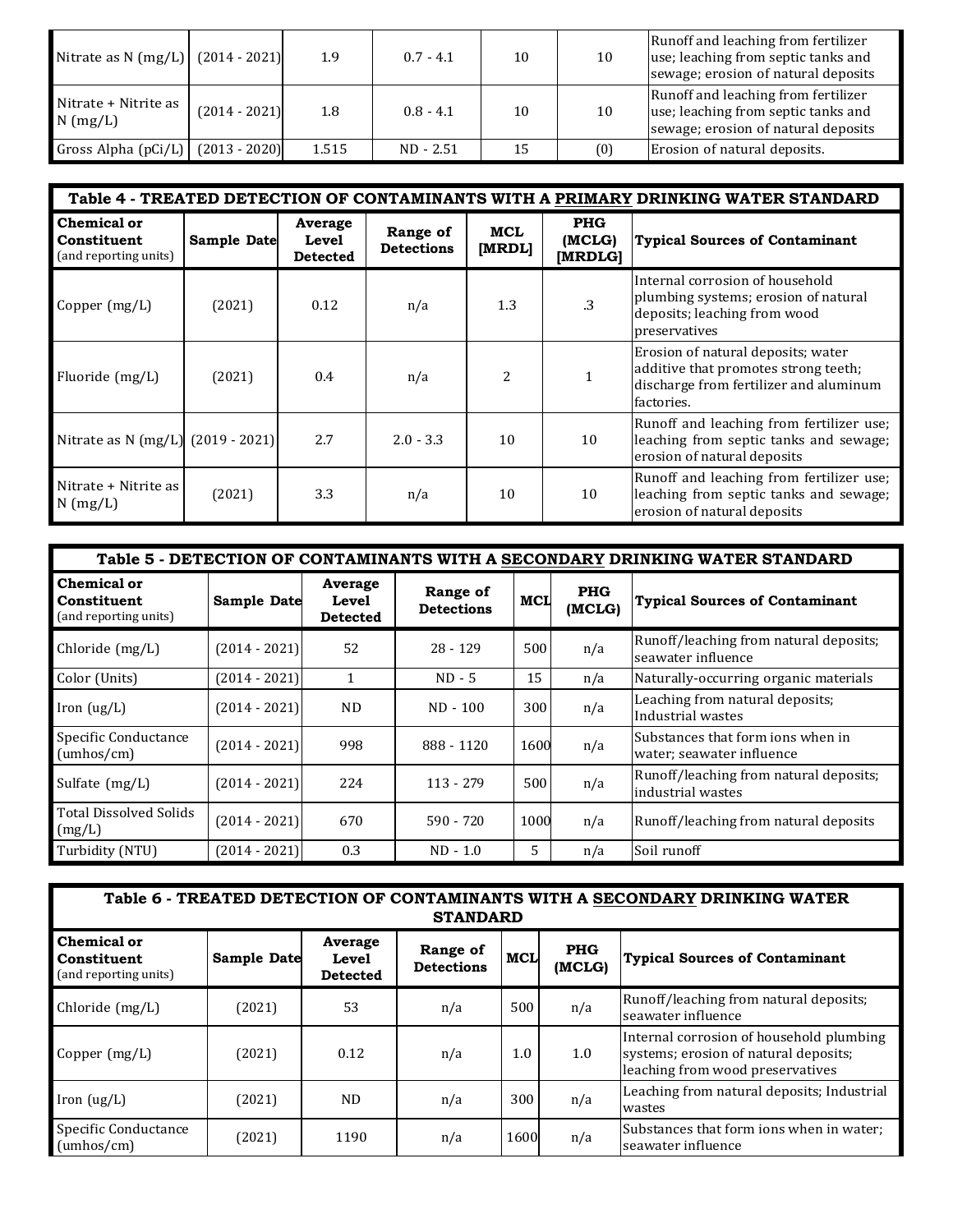| Nitrate as N $(mg/L)$ $(2014 - 2021)$ |                 | 1.9   | $0.7 - 4.1$ | 10 | 10  | Runoff and leaching from fertilizer<br>use; leaching from septic tanks and<br>sewage; erosion of natural deposits |
|---------------------------------------|-----------------|-------|-------------|----|-----|-------------------------------------------------------------------------------------------------------------------|
| Nitrate + Nitrite as<br>$N$ (mg/L)    | $(2014 - 2021)$ | 1.8   | $0.8 - 4.1$ | 10 | 10  | Runoff and leaching from fertilizer<br>use; leaching from septic tanks and<br>sewage; erosion of natural deposits |
| Gross Alpha (pCi/L)                   | $(2013 - 2020)$ | 1.515 | $ND - 2.51$ | 15 | (0) | Erosion of natural deposits.                                                                                      |

|                                                            | Table 4 - TREATED DETECTION OF CONTAMINANTS WITH A PRIMARY DRINKING WATER STANDARD |                                     |                               |                      |                                 |                                                                                                                                    |  |  |  |  |
|------------------------------------------------------------|------------------------------------------------------------------------------------|-------------------------------------|-------------------------------|----------------------|---------------------------------|------------------------------------------------------------------------------------------------------------------------------------|--|--|--|--|
| <b>Chemical or</b><br>Constituent<br>(and reporting units) | Sample Date                                                                        | Average<br>Level<br><b>Detected</b> | Range of<br><b>Detections</b> | <b>MCL</b><br>[MRDL] | <b>PHG</b><br>(MCLG)<br>[MRDLG] | <b>Typical Sources of Contaminant</b>                                                                                              |  |  |  |  |
| Copper $(mg/L)$                                            | (2021)                                                                             | 0.12                                | n/a                           | 1.3                  | .3                              | Internal corrosion of household<br>plumbing systems; erosion of natural<br>deposits; leaching from wood<br>preservatives           |  |  |  |  |
| Fluoride (mg/L)                                            | (2021)                                                                             | 0.4                                 | n/a                           | $\overline{c}$       |                                 | Erosion of natural deposits; water<br>additive that promotes strong teeth;<br>discharge from fertilizer and aluminum<br>factories. |  |  |  |  |
| Nitrate as N $(mg/L)$ (2019 - 2021)                        |                                                                                    | 2.7                                 | $2.0 - 3.3$                   | 10                   | 10                              | Runoff and leaching from fertilizer use;<br>leaching from septic tanks and sewage;<br>erosion of natural deposits                  |  |  |  |  |
| Nitrate + Nitrite as<br>$N$ (mg/L)                         | (2021)                                                                             | 3.3                                 | n/a                           | 10                   | 10                              | Runoff and leaching from fertilizer use;<br>leaching from septic tanks and sewage;<br>erosion of natural deposits                  |  |  |  |  |

| Table 5 - DETECTION OF CONTAMINANTS WITH A SECONDARY DRINKING WATER STANDARD |                 |                                            |                               |                |                      |                                                                |  |  |  |
|------------------------------------------------------------------------------|-----------------|--------------------------------------------|-------------------------------|----------------|----------------------|----------------------------------------------------------------|--|--|--|
| Chemical or<br><b>Sample Date</b><br>Constituent<br>(and reporting units)    |                 | Average<br><b>Level</b><br><b>Detected</b> | Range of<br><b>Detections</b> | MCL            | <b>PHG</b><br>(MCLG) | <b>Typical Sources of Contaminant</b>                          |  |  |  |
| Chloride (mg/L)                                                              | $(2014 - 2021)$ | 52                                         | 28 - 129                      | 500            | n/a                  | Runoff/leaching from natural deposits;<br>seawater influence   |  |  |  |
| Color (Units)                                                                | $(2014 - 2021)$ | $\mathbf{1}$                               | $ND - 5$                      | 15             | n/a                  | Naturally-occurring organic materials                          |  |  |  |
| Iron $(ug/L)$                                                                | $(2014 - 2021)$ | <b>ND</b>                                  | $ND - 100$                    | 300            | n/a                  | Leaching from natural deposits;<br>Industrial wastes           |  |  |  |
| Specific Conductance<br>(umbos/cm)                                           | $(2014 - 2021)$ | 998                                        | 888 - 1120                    | 1600           | n/a                  | Substances that form ions when in<br>water; seawater influence |  |  |  |
| Sulfate (mg/L)                                                               | $(2014 - 2021)$ | 224                                        | $113 - 279$                   | 500            | n/a                  | Runoff/leaching from natural deposits;<br>industrial wastes    |  |  |  |
| Total Dissolved Solids<br>(mg/L)                                             | $(2014 - 2021)$ | 670                                        | $590 - 720$                   | 1000           | n/a                  | Runoff/leaching from natural deposits                          |  |  |  |
| Turbidity (NTU)                                                              | $(2014 - 2021)$ | 0.3                                        | $ND - 1.0$                    | $\overline{5}$ | n/a                  | Soil runoff                                                    |  |  |  |

| Table 6 - TREATED DETECTION OF CONTAMINANTS WITH A SECONDARY DRINKING WATER<br><b>STANDARD</b> |                                                                                            |      |     |      |     |                                                                                                                       |  |  |  |  |
|------------------------------------------------------------------------------------------------|--------------------------------------------------------------------------------------------|------|-----|------|-----|-----------------------------------------------------------------------------------------------------------------------|--|--|--|--|
| Chemical or<br>Constituent<br>(and reporting units)                                            | <b>Typical Sources of Contaminant</b>                                                      |      |     |      |     |                                                                                                                       |  |  |  |  |
| Chloride (mg/L)                                                                                | (2021)                                                                                     | 53   | n/a | 500  | n/a | Runoff/leaching from natural deposits;<br>seawater influence                                                          |  |  |  |  |
| Copper $(mg/L)$                                                                                | (2021)                                                                                     | 0.12 | n/a | 1.0  | 1.0 | Internal corrosion of household plumbing<br>systems; erosion of natural deposits;<br>leaching from wood preservatives |  |  |  |  |
| Iron $(ug/L)$                                                                                  | Leaching from natural deposits; Industrial<br>300<br>n/a<br>ND.<br>(2021)<br>n/a<br>wastes |      |     |      |     |                                                                                                                       |  |  |  |  |
| Specific Conductance<br>(umbos/cm)                                                             | (2021)                                                                                     | 1190 | n/a | 1600 | n/a | Substances that form ions when in water;<br>seawater influence                                                        |  |  |  |  |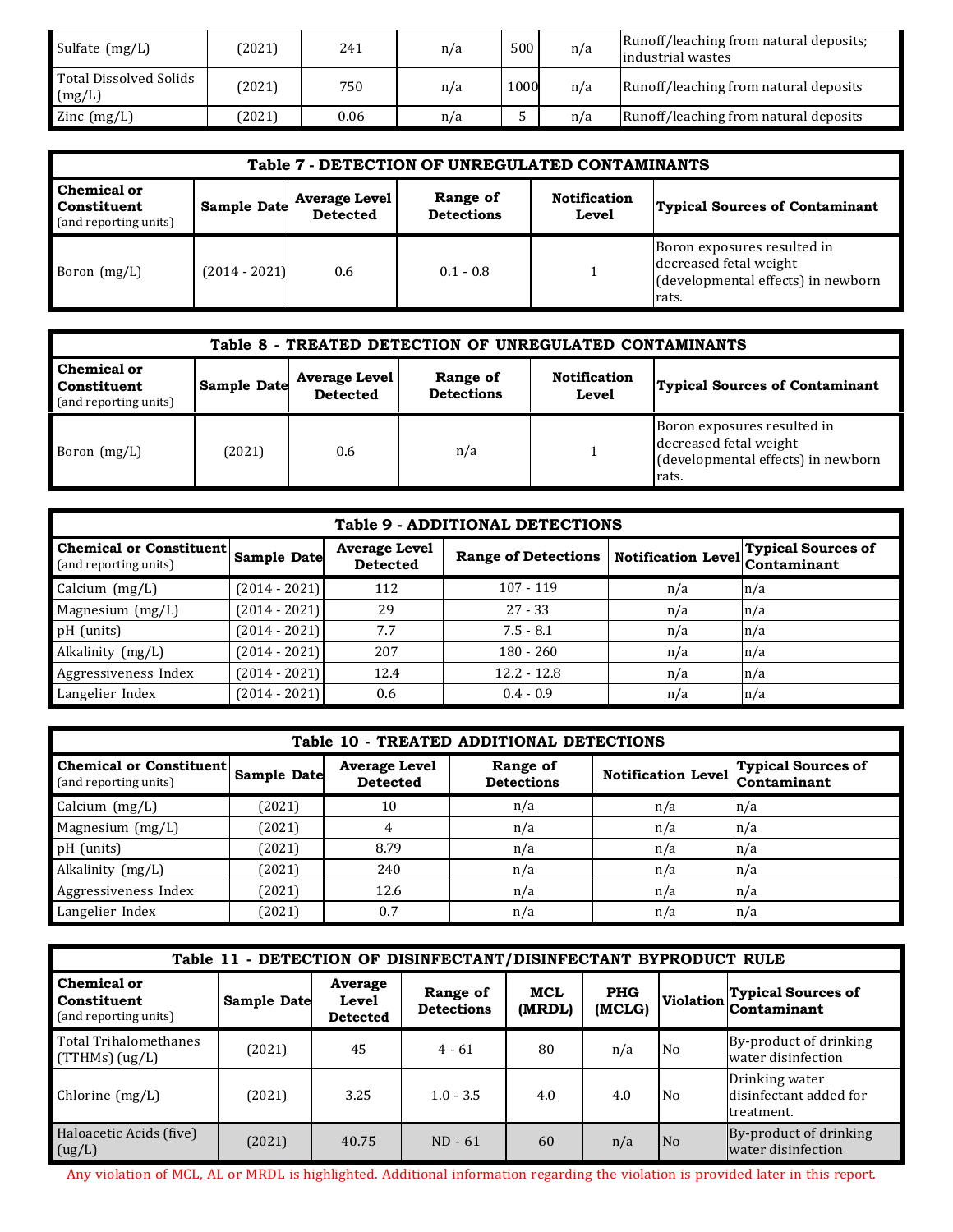| Sulfate (mg/L)                   | (2021) | 241  | n/a | 500  | n/a | Runoff/leaching from natural deposits;<br>lindustrial wastes |
|----------------------------------|--------|------|-----|------|-----|--------------------------------------------------------------|
| Total Dissolved Solids<br>(mg/L) | (2021) | 750  | n/a | 1000 | n/a | Runoff/leaching from natural deposits                        |
| Zinc $(mg/L)$                    | (2021) | 0.06 | n/a | ັ    | n/a | Runoff/leaching from natural deposits                        |

| Table 7 - DETECTION OF UNREGULATED CONTAMINANTS                                                                                                                                                                                       |                 |     |             |  |                                                                                                      |  |  |  |
|---------------------------------------------------------------------------------------------------------------------------------------------------------------------------------------------------------------------------------------|-----------------|-----|-------------|--|------------------------------------------------------------------------------------------------------|--|--|--|
| <b>Chemical or</b><br>Range of<br><b>Notification</b><br><b>Average Level</b><br><b>Sample Date</b><br><b>Typical Sources of Contaminant</b><br>Constituent<br><b>Detections</b><br><b>Detected</b><br>Level<br>(and reporting units) |                 |     |             |  |                                                                                                      |  |  |  |
| Boron $(mg/L)$                                                                                                                                                                                                                        | $(2014 - 2021)$ | 0.6 | $0.1 - 0.8$ |  | Boron exposures resulted in<br>decreased fetal weight<br>(developmental effects) in newborn<br>rats. |  |  |  |

| Table 8 - TREATED DETECTION OF UNREGULATED CONTAMINANTS                                                                                                                                                                                      |        |     |     |  |                                                                                                      |  |  |  |
|----------------------------------------------------------------------------------------------------------------------------------------------------------------------------------------------------------------------------------------------|--------|-----|-----|--|------------------------------------------------------------------------------------------------------|--|--|--|
| <b>Chemical or</b><br><b>Notification</b><br>Range of<br><b>Average Level</b><br><b>Sample Date</b><br><b>Typical Sources of Contaminant</b><br><b>Constituent</b><br><b>Detections</b><br><b>Detected</b><br>Level<br>(and reporting units) |        |     |     |  |                                                                                                      |  |  |  |
| Boron (mg/L)                                                                                                                                                                                                                                 | (2021) | 0.6 | n/a |  | Boron exposures resulted in<br>decreased fetal weight<br>(developmental effects) in newborn<br>rats. |  |  |  |

| <b>Table 9 - ADDITIONAL DETECTIONS</b>                       |                                                           |      |               |     |     |  |  |  |  |  |
|--------------------------------------------------------------|-----------------------------------------------------------|------|---------------|-----|-----|--|--|--|--|--|
| Chemical or Constituent Sample Date<br>(and reporting units) | Range of Detections Notification Level Typical Sources of |      |               |     |     |  |  |  |  |  |
| Calcium (mg/L)                                               | $(2014 - 2021)$                                           | 112  | $107 - 119$   | n/a | n/a |  |  |  |  |  |
| Magnesium (mg/L)                                             | $(2014 - 2021)$                                           | 29   | $27 - 33$     | n/a | n/a |  |  |  |  |  |
| pH (units)                                                   | $(2014 - 2021)$                                           | 7.7  | $7.5 - 8.1$   | n/a | n/a |  |  |  |  |  |
| Alkalinity (mg/L)                                            | $(2014 - 2021)$                                           | 207  | $180 - 260$   | n/a | n/a |  |  |  |  |  |
| Aggressiveness Index                                         | $(2014 - 2021)$                                           | 12.4 | $12.2 - 12.8$ | n/a | n/a |  |  |  |  |  |
| Langelier Index                                              | $(2014 - 2021)$                                           | 0.6  | $0.4 - 0.9$   | n/a | n/a |  |  |  |  |  |

|                                                         | Table 10 - TREATED ADDITIONAL DETECTIONS |                                         |                               |                           |                                          |  |  |  |  |  |  |  |
|---------------------------------------------------------|------------------------------------------|-----------------------------------------|-------------------------------|---------------------------|------------------------------------------|--|--|--|--|--|--|--|
| <b>Chemical or Constituent</b><br>(and reporting units) | Sample Date                              | <b>Average Level</b><br><b>Detected</b> | Range of<br><b>Detections</b> | <b>Notification Level</b> | <b>Typical Sources of</b><br>Contaminant |  |  |  |  |  |  |  |
| Calcium (mg/L)                                          | (2021)                                   | 10                                      | n/a                           | n/a                       | n/a                                      |  |  |  |  |  |  |  |
| Magnesium (mg/L)                                        | (2021)                                   |                                         | n/a                           | n/a                       | n/a                                      |  |  |  |  |  |  |  |
| pH (units)                                              | (2021)                                   | 8.79                                    | n/a                           | n/a                       | n/a                                      |  |  |  |  |  |  |  |
| Alkalinity (mg/L)                                       | (2021)                                   | 240                                     | n/a                           | n/a                       | n/a                                      |  |  |  |  |  |  |  |
| Aggressiveness Index                                    | (2021)                                   | 12.6                                    | n/a                           | n/a                       | n/a                                      |  |  |  |  |  |  |  |
| Langelier Index                                         | (2021)                                   | 0.7                                     | n/a                           | n/a                       | n/a                                      |  |  |  |  |  |  |  |

|                                                            | Table 11 - DETECTION OF DISINFECTANT/DISINFECTANT BYPRODUCT RULE |                                     |                               |               |                      |                  |                                                        |  |  |  |  |  |  |
|------------------------------------------------------------|------------------------------------------------------------------|-------------------------------------|-------------------------------|---------------|----------------------|------------------|--------------------------------------------------------|--|--|--|--|--|--|
| <b>Chemical or</b><br>Constituent<br>(and reporting units) | Sample Date                                                      | Average<br>Level<br><b>Detected</b> | Range of<br><b>Detections</b> | MCL<br>(MRDL) | <b>PHG</b><br>(MCLG) | <b>Violation</b> | <b>Typical Sources of</b><br>Contaminant               |  |  |  |  |  |  |
| Total Trihalomethanes<br>$(TTHMs)$ (ug/L)                  | (2021)                                                           | 45                                  | $4 - 61$                      | 80            | n/a                  | N <sub>0</sub>   | By-product of drinking<br>water disinfection           |  |  |  |  |  |  |
| Chlorine (mg/L)                                            | (2021)                                                           | 3.25                                | $1.0 - 3.5$                   | 4.0           | 4.0                  | N <sub>0</sub>   | Drinking water<br>disinfectant added for<br>treatment. |  |  |  |  |  |  |
| Haloacetic Acids (five)<br>(ug/L)                          | (2021)                                                           | 40.75                               | $ND - 61$                     | 60            | n/a                  | l No             | By-product of drinking<br>water disinfection           |  |  |  |  |  |  |

Any violation of MCL, AL or MRDL is highlighted. Additional information regarding the violation is provided later in this report.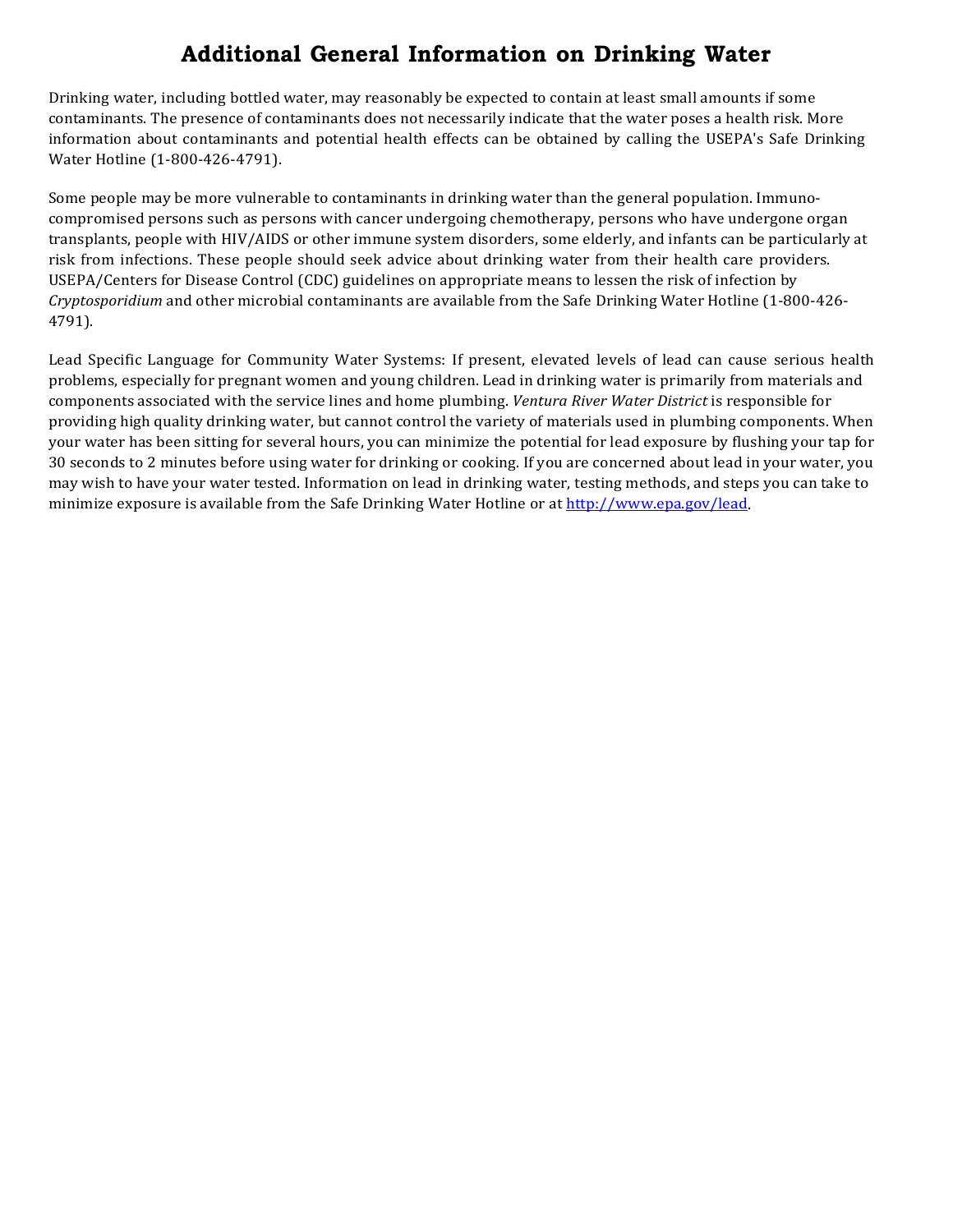# **Additional General Information on Drinking Water**

Drinking water, including bottled water, may reasonably be expected to contain at least small amounts if some contaminants. The presence of contaminants does not necessarily indicate that the water poses a health risk. More information about contaminants and potential health effects can be obtained by calling the USEPA's Safe Drinking Water Hotline (1-800-426-4791).

Some people may be more vulnerable to contaminants in drinking water than the general population. Immunocompromised persons such as persons with cancer undergoing chemotherapy, persons who have undergone organ transplants, people with HIV/AIDS or other immune system disorders, some elderly, and infants can be particularly at risk from infections. These people should seek advice about drinking water from their health care providers. USEPA/Centers for Disease Control (CDC) guidelines on appropriate means to lessen the risk of infection by *Cryptosporidium* and other microbial contaminants are available from the Safe Drinking Water Hotline (1-800-426- 4791).

Lead Specific Language for Community Water Systems: If present, elevated levels of lead can cause serious health problems, especially for pregnant women and young children. Lead in drinking water is primarily from materials and components associated with the service lines and home plumbing. *Ventura River Water District* is responsible for providing high quality drinking water, but cannot control the variety of materials used in plumbing components. When your water has been sitting for several hours, you can minimize the potential for lead exposure by flushing your tap for 30 seconds to 2 minutes before using water for drinking or cooking. If you are concerned about lead in your water, you may wish to have your water tested. Information on lead in drinking water, testing methods, and steps you can take to minimize exposure is available from the Safe Drinking Water Hotline or at [http://www.epa.gov/lead.](http://www.epa.gov/safewater/lead)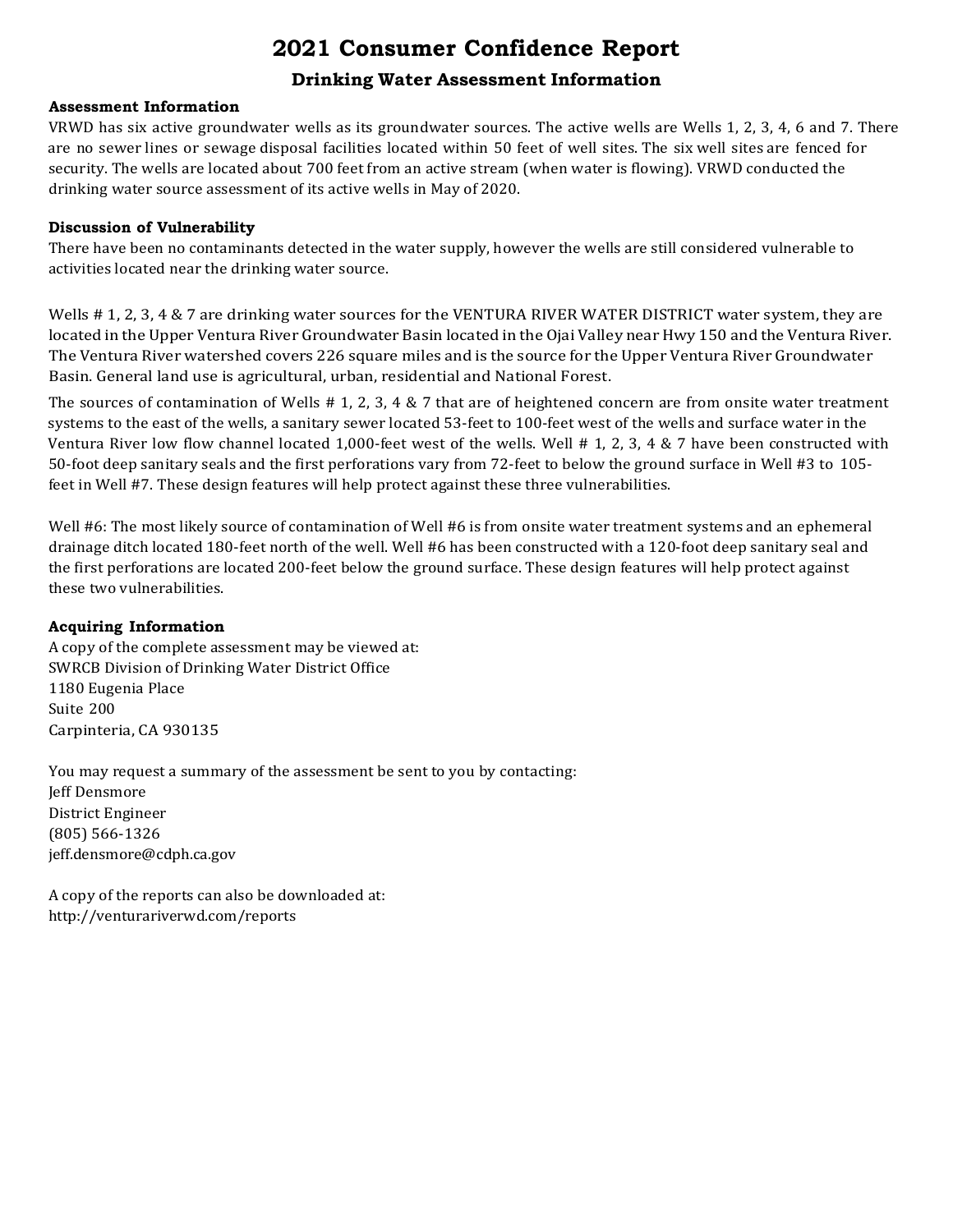# **2021 Consumer Confidence Report**

## **Drinking Water Assessment Information**

## **Assessment Information**

VRWD has six active groundwater wells as its groundwater sources. The active wells are Wells 1, 2, 3, 4, 6 and 7. There are no sewer lines or sewage disposal facilities located within 50 feet of well sites. The six well sites are fenced for security. The wells are located about 700 feet from an active stream (when water is flowing). VRWD conducted the drinking water source assessment of its active wells in May of 2020.

## **Discussion of Vulnerability**

There have been no contaminants detected in the water supply, however the wells are still considered vulnerable to activities located near the drinking water source.

Wells # 1, 2, 3, 4 & 7 are drinking water sources for the VENTURA RIVER WATER DISTRICT water system, they are located in the Upper Ventura River Groundwater Basin located in the Ojai Valley near Hwy 150 and the Ventura River. The Ventura River watershed covers 226 square miles and is the source for the Upper Ventura River Groundwater Basin. General land use is agricultural, urban, residential and National Forest.

The sources of contamination of Wells  $# 1, 2, 3, 4 \& 7$  that are of heightened concern are from onsite water treatment systems to the east of the wells, a sanitary sewer located 53-feet to 100-feet west of the wells and surface water in the Ventura River low flow channel located 1,000-feet west of the wells. Well # 1, 2, 3, 4 & 7 have been constructed with 50-foot deep sanitary seals and the first perforations vary from 72-feet to below the ground surface in Well #3 to 105 feet in Well #7. These design features will help protect against these three vulnerabilities.

Well #6: The most likely source of contamination of Well #6 is from onsite water treatment systems and an ephemeral drainage ditch located 180-feet north of the well. Well #6 has been constructed with a 120-foot deep sanitary seal and the first perforations are located 200-feet below the ground surface. These design features will help protect against these two vulnerabilities.

## **Acquiring Information**

A copy of the complete assessment may be viewed at: SWRCB Division of Drinking Water District Office 1180 Eugenia Place Suite 200 Carpinteria, CA 930135

You may request a summary of the assessment be sent to you by contacting: Jeff Densmore District Engineer (805) 566-1326 [jeff.densmore@cdph.ca.gov](mailto:jeff.densmore@cdph.ca.gov)

A copy of the reports can also be downloaded at: <http://venturariverwd.com/reports>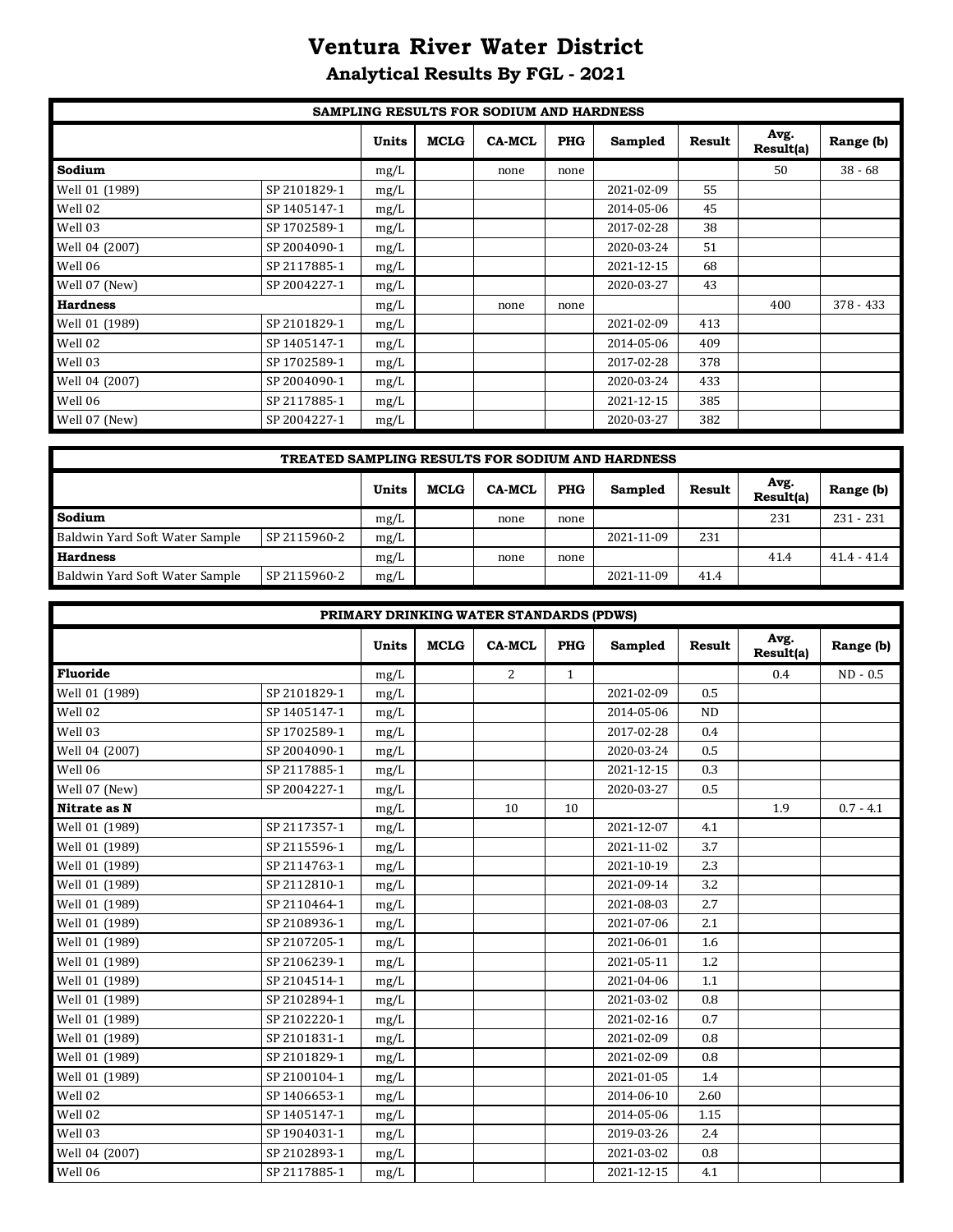# **Ventura River Water District**

# **Analytical Results By FGL - 2021**

|                 |              |              |             | SAMPLING RESULTS FOR SODIUM AND HARDNESS |            |            |        |                   |             |
|-----------------|--------------|--------------|-------------|------------------------------------------|------------|------------|--------|-------------------|-------------|
|                 |              | <b>Units</b> | <b>MCLG</b> | <b>CA-MCL</b>                            | <b>PHG</b> | Sampled    | Result | Avg.<br>Result(a) | Range (b)   |
| Sodium          |              | mg/L         |             | none                                     | none       |            |        | 50                | $38 - 68$   |
| Well 01 (1989)  | SP 2101829-1 | mg/L         |             |                                          |            | 2021-02-09 | 55     |                   |             |
| Well 02         | SP 1405147-1 | mg/L         |             |                                          |            | 2014-05-06 | 45     |                   |             |
| Well 03         | SP 1702589-1 | mg/L         |             |                                          |            | 2017-02-28 | 38     |                   |             |
| Well 04 (2007)  | SP 2004090-1 | mg/L         |             |                                          |            | 2020-03-24 | 51     |                   |             |
| Well 06         | SP 2117885-1 | mg/L         |             |                                          |            | 2021-12-15 | 68     |                   |             |
| Well 07 (New)   | SP 2004227-1 | mg/L         |             |                                          |            | 2020-03-27 | 43     |                   |             |
| <b>Hardness</b> |              | mg/L         |             | none                                     | none       |            |        | 400               | $378 - 433$ |
| Well 01 (1989)  | SP 2101829-1 | mg/L         |             |                                          |            | 2021-02-09 | 413    |                   |             |
| Well 02         | SP 1405147-1 | mg/L         |             |                                          |            | 2014-05-06 | 409    |                   |             |
| Well 03         | SP 1702589-1 | mg/L         |             |                                          |            | 2017-02-28 | 378    |                   |             |
| Well 04 (2007)  | SP 2004090-1 | mg/L         |             |                                          |            | 2020-03-24 | 433    |                   |             |
| Well 06         | SP 2117885-1 | mg/L         |             |                                          |            | 2021-12-15 | 385    |                   |             |
| Well 07 (New)   | SP 2004227-1 | mg/L         |             |                                          |            | 2020-03-27 | 382    |                   |             |

| <b>TREATED SAMPLING RESULTS FOR SODIUM AND HARDNESS</b> |              |              |             |               |            |            |        |                   |               |  |  |
|---------------------------------------------------------|--------------|--------------|-------------|---------------|------------|------------|--------|-------------------|---------------|--|--|
|                                                         |              | <b>Units</b> | <b>MCLG</b> | <b>CA-MCL</b> | <b>PHG</b> | Sampled    | Result | Avg.<br>Result(a) | Range (b)     |  |  |
| Sodium                                                  |              | mg/L         |             | none          | none       |            |        | 231               | $231 - 231$   |  |  |
| Baldwin Yard Soft Water Sample                          | SP 2115960-2 | mg/L         |             |               |            | 2021-11-09 | 231    |                   |               |  |  |
| <b>Hardness</b>                                         |              | mg/L         |             | none          | none       |            |        | 41.4              | $41.4 - 41.4$ |  |  |
| Baldwin Yard Soft Water Sample                          | SP 2115960-2 | mg/L         |             |               |            | 2021-11-09 | 41.4   |                   |               |  |  |

|                |              |              |             | PRIMARY DRINKING WATER STANDARDS (PDWS) |              |            |               |                   |             |
|----------------|--------------|--------------|-------------|-----------------------------------------|--------------|------------|---------------|-------------------|-------------|
|                |              | <b>Units</b> | <b>MCLG</b> | <b>CA-MCL</b>                           | <b>PHG</b>   | Sampled    | <b>Result</b> | Avg.<br>Result(a) | Range (b)   |
| Fluoride       |              | mg/L         |             | 2                                       | $\mathbf{1}$ |            |               | 0.4               | $ND - 0.5$  |
| Well 01 (1989) | SP 2101829-1 | mg/L         |             |                                         |              | 2021-02-09 | 0.5           |                   |             |
| Well 02        | SP 1405147-1 | mg/L         |             |                                         |              | 2014-05-06 | <b>ND</b>     |                   |             |
| Well 03        | SP 1702589-1 | mg/L         |             |                                         |              | 2017-02-28 | 0.4           |                   |             |
| Well 04 (2007) | SP 2004090-1 | mg/L         |             |                                         |              | 2020-03-24 | 0.5           |                   |             |
| Well 06        | SP 2117885-1 | mg/L         |             |                                         |              | 2021-12-15 | 0.3           |                   |             |
| Well 07 (New)  | SP 2004227-1 | mg/L         |             |                                         |              | 2020-03-27 | $0.5\,$       |                   |             |
| Nitrate as N   |              | mg/L         |             | 10                                      | 10           |            |               | 1.9               | $0.7 - 4.1$ |
| Well 01 (1989) | SP 2117357-1 | mg/L         |             |                                         |              | 2021-12-07 | 4.1           |                   |             |
| Well 01 (1989) | SP 2115596-1 | mg/L         |             |                                         |              | 2021-11-02 | 3.7           |                   |             |
| Well 01 (1989) | SP 2114763-1 | mg/L         |             |                                         |              | 2021-10-19 | 2.3           |                   |             |
| Well 01 (1989) | SP 2112810-1 | mg/L         |             |                                         |              | 2021-09-14 | 3.2           |                   |             |
| Well 01 (1989) | SP 2110464-1 | mg/L         |             |                                         |              | 2021-08-03 | 2.7           |                   |             |
| Well 01 (1989) | SP 2108936-1 | mg/L         |             |                                         |              | 2021-07-06 | 2.1           |                   |             |
| Well 01 (1989) | SP 2107205-1 | mg/L         |             |                                         |              | 2021-06-01 | 1.6           |                   |             |
| Well 01 (1989) | SP 2106239-1 | mg/L         |             |                                         |              | 2021-05-11 | 1.2           |                   |             |
| Well 01 (1989) | SP 2104514-1 | mg/L         |             |                                         |              | 2021-04-06 | 1.1           |                   |             |
| Well 01 (1989) | SP 2102894-1 | mg/L         |             |                                         |              | 2021-03-02 | 0.8           |                   |             |
| Well 01 (1989) | SP 2102220-1 | mg/L         |             |                                         |              | 2021-02-16 | 0.7           |                   |             |
| Well 01 (1989) | SP 2101831-1 | mg/L         |             |                                         |              | 2021-02-09 | 0.8           |                   |             |
| Well 01 (1989) | SP 2101829-1 | mg/L         |             |                                         |              | 2021-02-09 | 0.8           |                   |             |
| Well 01 (1989) | SP 2100104-1 | mg/L         |             |                                         |              | 2021-01-05 | 1.4           |                   |             |
| Well 02        | SP 1406653-1 | mg/L         |             |                                         |              | 2014-06-10 | 2.60          |                   |             |
| Well 02        | SP 1405147-1 | mg/L         |             |                                         |              | 2014-05-06 | 1.15          |                   |             |
| Well 03        | SP 1904031-1 | mg/L         |             |                                         |              | 2019-03-26 | 2.4           |                   |             |
| Well 04 (2007) | SP 2102893-1 | mg/L         |             |                                         |              | 2021-03-02 | 0.8           |                   |             |
| Well 06        | SP 2117885-1 | mg/L         |             |                                         |              | 2021-12-15 | 4.1           |                   |             |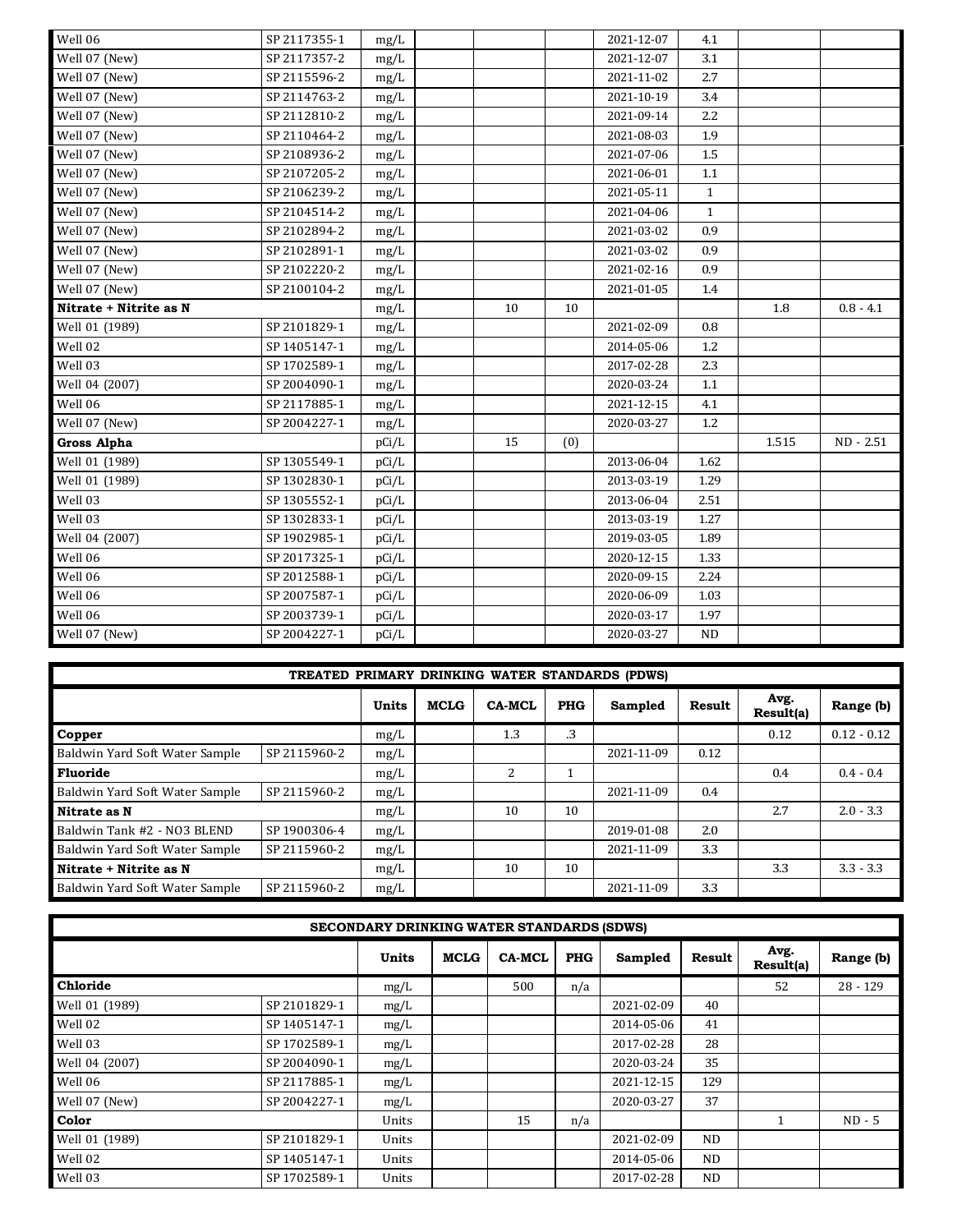| Well 06                | SP 2117355-1 | mg/L  |    |     | 2021-12-07 | 4.1          |       |             |
|------------------------|--------------|-------|----|-----|------------|--------------|-------|-------------|
| Well 07 (New)          | SP 2117357-2 | mg/L  |    |     | 2021-12-07 | 3.1          |       |             |
| Well 07 (New)          | SP 2115596-2 | mg/L  |    |     | 2021-11-02 | 2.7          |       |             |
| Well 07 (New)          | SP 2114763-2 | mg/L  |    |     | 2021-10-19 | 3.4          |       |             |
| Well 07 (New)          | SP 2112810-2 | mg/L  |    |     | 2021-09-14 | 2.2          |       |             |
| Well 07 (New)          | SP 2110464-2 | mg/L  |    |     | 2021-08-03 | 1.9          |       |             |
| Well 07 (New)          | SP 2108936-2 | mg/L  |    |     | 2021-07-06 | 1.5          |       |             |
| Well 07 (New)          | SP 2107205-2 | mg/L  |    |     | 2021-06-01 | 1.1          |       |             |
| Well 07 (New)          | SP 2106239-2 | mg/L  |    |     | 2021-05-11 | $\mathbf{1}$ |       |             |
| Well 07 (New)          | SP 2104514-2 | mg/L  |    |     | 2021-04-06 | $\mathbf{1}$ |       |             |
| Well 07 (New)          | SP 2102894-2 | mg/L  |    |     | 2021-03-02 | 0.9          |       |             |
| Well 07 (New)          | SP 2102891-1 | mg/L  |    |     | 2021-03-02 | 0.9          |       |             |
| Well 07 (New)          | SP 2102220-2 | mg/L  |    |     | 2021-02-16 | 0.9          |       |             |
| Well 07 (New)          | SP 2100104-2 | mg/L  |    |     | 2021-01-05 | 1.4          |       |             |
| Nitrate + Nitrite as N |              | mg/L  | 10 | 10  |            |              | 1.8   | $0.8 - 4.1$ |
| Well 01 (1989)         | SP 2101829-1 | mg/L  |    |     | 2021-02-09 | 0.8          |       |             |
| Well 02                | SP 1405147-1 | mg/L  |    |     | 2014-05-06 | 1.2          |       |             |
| Well 03                | SP 1702589-1 | mg/L  |    |     | 2017-02-28 | 2.3          |       |             |
| Well 04 (2007)         | SP 2004090-1 | mg/L  |    |     | 2020-03-24 | 1.1          |       |             |
| Well 06                | SP 2117885-1 | mg/L  |    |     | 2021-12-15 | 4.1          |       |             |
| Well 07 (New)          | SP 2004227-1 | mg/L  |    |     | 2020-03-27 | 1.2          |       |             |
| Gross Alpha            |              | pCi/L | 15 | (0) |            |              | 1.515 | ND - 2.51   |
| Well 01 (1989)         | SP 1305549-1 | pCi/L |    |     | 2013-06-04 | 1.62         |       |             |
| Well 01 (1989)         | SP 1302830-1 | pCi/L |    |     | 2013-03-19 | 1.29         |       |             |
| Well 03                | SP 1305552-1 | pCi/L |    |     | 2013-06-04 | 2.51         |       |             |
| Well 03                | SP 1302833-1 | pCi/L |    |     | 2013-03-19 | 1.27         |       |             |
| Well 04 (2007)         | SP 1902985-1 | pCi/L |    |     | 2019-03-05 | 1.89         |       |             |
| Well 06                | SP 2017325-1 | pCi/L |    |     | 2020-12-15 | 1.33         |       |             |
| Well 06                | SP 2012588-1 | pCi/L |    |     | 2020-09-15 | 2.24         |       |             |
| Well 06                | SP 2007587-1 | pCi/L |    |     | 2020-06-09 | 1.03         |       |             |
| Well 06                | SP 2003739-1 | pCi/L |    |     | 2020-03-17 | 1.97         |       |             |
| Well 07 (New)          | SP 2004227-1 | pCi/L |    |     | 2020-03-27 | ND           |       |             |

|                                | TREATED PRIMARY DRINKING WATER STANDARDS (PDWS) |              |             |               |            |            |        |                   |               |  |  |  |  |
|--------------------------------|-------------------------------------------------|--------------|-------------|---------------|------------|------------|--------|-------------------|---------------|--|--|--|--|
|                                |                                                 | <b>Units</b> | <b>MCLG</b> | <b>CA-MCL</b> | <b>PHG</b> | Sampled    | Result | Avg.<br>Result(a) | Range (b)     |  |  |  |  |
| Copper                         |                                                 | mg/L         |             | 1.3           | .3         |            |        | 0.12              | $0.12 - 0.12$ |  |  |  |  |
| Baldwin Yard Soft Water Sample | SP 2115960-2                                    | mg/L         |             |               |            | 2021-11-09 | 0.12   |                   |               |  |  |  |  |
| Fluoride                       |                                                 | mg/L         |             | 2             |            |            |        | 0.4               | $0.4 - 0.4$   |  |  |  |  |
| Baldwin Yard Soft Water Sample | SP 2115960-2                                    | mg/L         |             |               |            | 2021-11-09 | 0.4    |                   |               |  |  |  |  |
| Nitrate as N                   |                                                 | mg/L         |             | 10            | 10         |            |        | 2.7               | $2.0 - 3.3$   |  |  |  |  |
| Baldwin Tank #2 - NO3 BLEND    | SP 1900306-4                                    | mg/L         |             |               |            | 2019-01-08 | 2.0    |                   |               |  |  |  |  |
| Baldwin Yard Soft Water Sample | SP 2115960-2                                    | mg/L         |             |               |            | 2021-11-09 | 3.3    |                   |               |  |  |  |  |
| Nitrate + Nitrite as N         |                                                 | mg/L         |             | 10            | 10         |            |        | 3.3               | $3.3 - 3.3$   |  |  |  |  |
| Baldwin Yard Soft Water Sample | SP 2115960-2                                    | mg/L         |             |               |            | 2021-11-09 | 3.3    |                   |               |  |  |  |  |

|                |              | SECONDARY DRINKING WATER STANDARDS (SDWS) |             |               |            |            |           |                   |            |
|----------------|--------------|-------------------------------------------|-------------|---------------|------------|------------|-----------|-------------------|------------|
|                |              | Units                                     | <b>MCLG</b> | <b>CA-MCL</b> | <b>PHG</b> | Sampled    | Result    | Avg.<br>Result(a) | Range (b)  |
| Chloride       |              | mg/L                                      |             | 500           | n/a        |            |           | 52                | $28 - 129$ |
| Well 01 (1989) | SP 2101829-1 | mg/L                                      |             |               |            | 2021-02-09 | 40        |                   |            |
| Well 02        | SP 1405147-1 | mg/L                                      |             |               |            | 2014-05-06 | 41        |                   |            |
| Well 03        | SP 1702589-1 | mg/L                                      |             |               |            | 2017-02-28 | 28        |                   |            |
| Well 04 (2007) | SP 2004090-1 | mg/L                                      |             |               |            | 2020-03-24 | 35        |                   |            |
| Well 06        | SP 2117885-1 | mg/L                                      |             |               |            | 2021-12-15 | 129       |                   |            |
| Well 07 (New)  | SP 2004227-1 | mg/L                                      |             |               |            | 2020-03-27 | 37        |                   |            |
| Color          |              | Units                                     |             | 15            | n/a        |            |           |                   | $ND - 5$   |
| Well 01 (1989) | SP 2101829-1 | Units                                     |             |               |            | 2021-02-09 | <b>ND</b> |                   |            |
| Well 02        | SP 1405147-1 | Units                                     |             |               |            | 2014-05-06 | <b>ND</b> |                   |            |
| Well 03        | SP 1702589-1 | Units                                     |             |               |            | 2017-02-28 | <b>ND</b> |                   |            |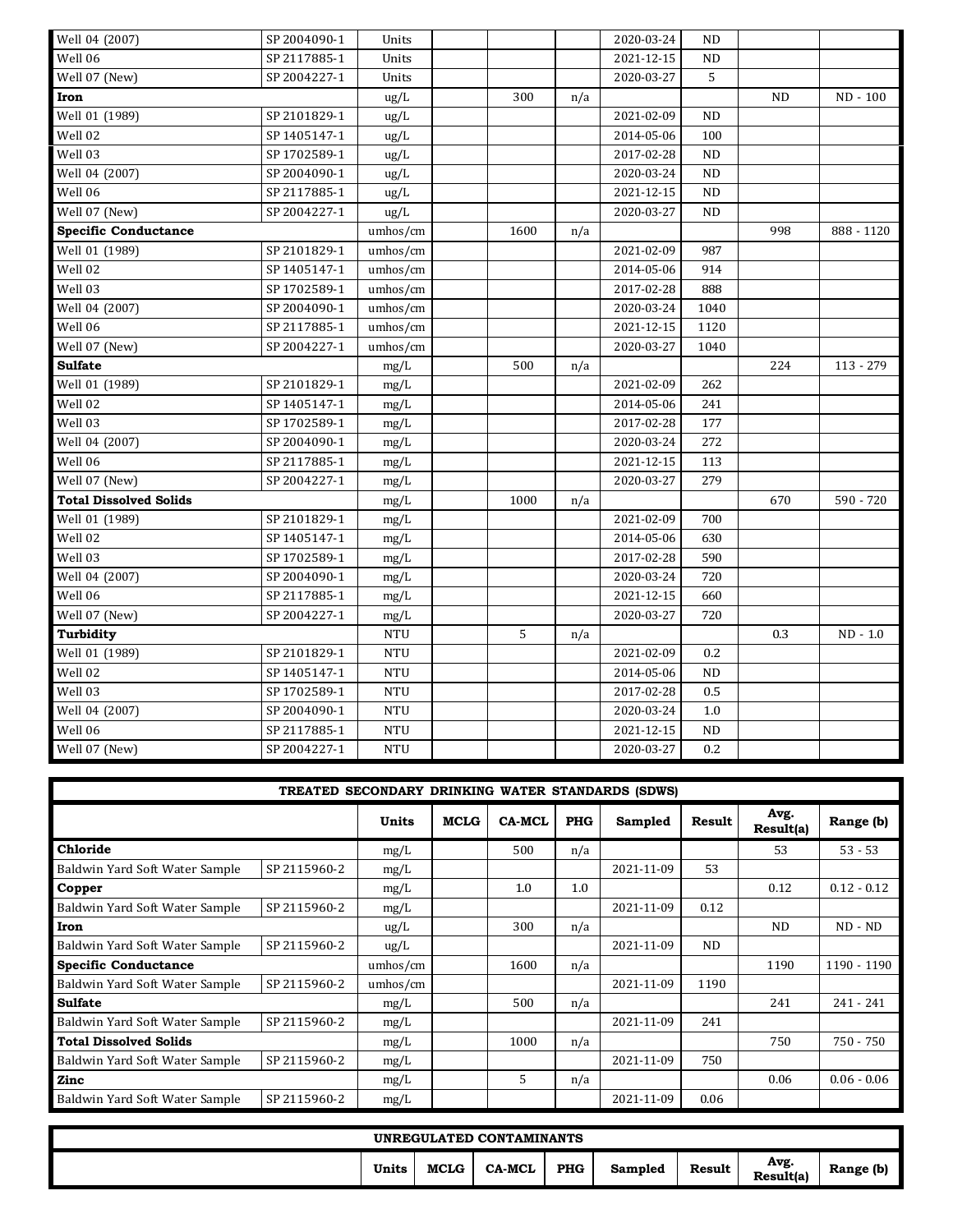| Well 04 (2007)                | SP 2004090-1 | Units      |      |     | 2020-03-24 | <b>ND</b> |     |            |
|-------------------------------|--------------|------------|------|-----|------------|-----------|-----|------------|
| Well 06                       | SP 2117885-1 | Units      |      |     | 2021-12-15 | <b>ND</b> |     |            |
| Well 07 (New)                 | SP 2004227-1 | Units      |      |     | 2020-03-27 | 5         |     |            |
| Iron                          |              | ug/L       | 300  | n/a |            |           | ND  | ND - 100   |
| Well 01 (1989)                | SP 2101829-1 | ug/L       |      |     | 2021-02-09 | ND        |     |            |
| Well 02                       | SP 1405147-1 | ug/L       |      |     | 2014-05-06 | 100       |     |            |
| Well 03                       | SP 1702589-1 | ug/L       |      |     | 2017-02-28 | ND        |     |            |
| Well 04 (2007)                | SP 2004090-1 | ug/L       |      |     | 2020-03-24 | <b>ND</b> |     |            |
| Well 06                       | SP 2117885-1 | ug/L       |      |     | 2021-12-15 | <b>ND</b> |     |            |
| Well 07 (New)                 | SP 2004227-1 | ug/L       |      |     | 2020-03-27 | <b>ND</b> |     |            |
| <b>Specific Conductance</b>   |              | umhos/cm   | 1600 | n/a |            |           | 998 | 888 - 1120 |
| Well 01 (1989)                | SP 2101829-1 | umhos/cm   |      |     | 2021-02-09 | 987       |     |            |
| Well 02                       | SP 1405147-1 | umhos/cm   |      |     | 2014-05-06 | 914       |     |            |
| Well 03                       | SP 1702589-1 | umhos/cm   |      |     | 2017-02-28 | 888       |     |            |
| Well 04 (2007)                | SP 2004090-1 | umhos/cm   |      |     | 2020-03-24 | 1040      |     |            |
| Well 06                       | SP 2117885-1 | umhos/cm   |      |     | 2021-12-15 | 1120      |     |            |
| Well 07 (New)                 | SP 2004227-1 | umhos/cm   |      |     | 2020-03-27 | 1040      |     |            |
| <b>Sulfate</b>                |              | mg/L       | 500  | n/a |            |           | 224 | 113 - 279  |
| Well 01 (1989)                | SP 2101829-1 | mg/L       |      |     | 2021-02-09 | 262       |     |            |
| Well 02                       | SP 1405147-1 | mg/L       |      |     | 2014-05-06 | 241       |     |            |
| Well 03                       | SP 1702589-1 | mg/L       |      |     | 2017-02-28 | 177       |     |            |
| Well 04 (2007)                | SP 2004090-1 | mg/L       |      |     | 2020-03-24 | 272       |     |            |
| Well 06                       | SP 2117885-1 | mg/L       |      |     | 2021-12-15 | 113       |     |            |
| Well 07 (New)                 | SP 2004227-1 | mg/L       |      |     | 2020-03-27 | 279       |     |            |
| <b>Total Dissolved Solids</b> |              | mg/L       | 1000 | n/a |            |           | 670 | 590 - 720  |
| Well 01 (1989)                | SP 2101829-1 | mg/L       |      |     | 2021-02-09 | 700       |     |            |
| Well 02                       | SP 1405147-1 | mg/L       |      |     | 2014-05-06 | 630       |     |            |
| Well 03                       | SP 1702589-1 | mg/L       |      |     | 2017-02-28 | 590       |     |            |
| Well 04 (2007)                | SP 2004090-1 | mg/L       |      |     | 2020-03-24 | 720       |     |            |
| Well 06                       | SP 2117885-1 | mg/L       |      |     | 2021-12-15 | 660       |     |            |
| Well 07 (New)                 | SP 2004227-1 | mg/L       |      |     | 2020-03-27 | 720       |     |            |
| Turbidity                     |              | <b>NTU</b> | 5    | n/a |            |           | 0.3 | $ND - 1.0$ |
| Well 01 (1989)                | SP 2101829-1 | <b>NTU</b> |      |     | 2021-02-09 | 0.2       |     |            |
| Well 02                       | SP 1405147-1 | <b>NTU</b> |      |     | 2014-05-06 | $\rm ND$  |     |            |
| Well 03                       | SP 1702589-1 | <b>NTU</b> |      |     | 2017-02-28 | 0.5       |     |            |
| Well 04 (2007)                | SP 2004090-1 | <b>NTU</b> |      |     | 2020-03-24 | 1.0       |     |            |
| Well 06                       | SP 2117885-1 | <b>NTU</b> |      |     | 2021-12-15 | <b>ND</b> |     |            |
| Well 07 (New)                 | SP 2004227-1 | <b>NTU</b> |      |     | 2020-03-27 | 0.2       |     |            |

|                                | TREATED SECONDARY DRINKING WATER STANDARDS (SDWS) |               |             |               |            |            |               |                   |               |
|--------------------------------|---------------------------------------------------|---------------|-------------|---------------|------------|------------|---------------|-------------------|---------------|
|                                |                                                   | Units         | <b>MCLG</b> | <b>CA-MCL</b> | <b>PHG</b> | Sampled    | <b>Result</b> | Avg.<br>Result(a) | Range (b)     |
| Chloride                       |                                                   | mg/L          |             | 500           | n/a        |            |               | 53                | $53 - 53$     |
| Baldwin Yard Soft Water Sample | SP 2115960-2                                      | mg/L          |             |               |            | 2021-11-09 | 53            |                   |               |
| Copper                         |                                                   | mg/L          |             | 1.0           | 1.0        |            |               | 0.12              | $0.12 - 0.12$ |
| Baldwin Yard Soft Water Sample | SP 2115960-2                                      | mg/L          |             |               |            | 2021-11-09 | 0.12          |                   |               |
| Iron                           |                                                   | $\text{ug/L}$ |             | 300           | n/a        |            |               | <b>ND</b>         | $ND - ND$     |
| Baldwin Yard Soft Water Sample | SP 2115960-2                                      | $\text{ug/L}$ |             |               |            | 2021-11-09 | ND            |                   |               |
| <b>Specific Conductance</b>    |                                                   | umhos/cm      |             | 1600          | n/a        |            |               | 1190              | 1190 - 1190   |
| Baldwin Yard Soft Water Sample | SP 2115960-2                                      | umhos/cm      |             |               |            | 2021-11-09 | 1190          |                   |               |
| <b>Sulfate</b>                 |                                                   | mg/L          |             | 500           | n/a        |            |               | 241               | 241 - 241     |
| Baldwin Yard Soft Water Sample | SP 2115960-2                                      | mg/L          |             |               |            | 2021-11-09 | 241           |                   |               |
| <b>Total Dissolved Solids</b>  |                                                   | mg/L          |             | 1000          | n/a        |            |               | 750               | 750 - 750     |
| Baldwin Yard Soft Water Sample | SP 2115960-2                                      | mg/L          |             |               |            | 2021-11-09 | 750           |                   |               |
| Zinc                           |                                                   | mg/L          |             | 5             | n/a        |            |               | 0.06              | $0.06 - 0.06$ |
| Baldwin Yard Soft Water Sample | SP 2115960-2                                      | mg/L          |             |               |            | 2021-11-09 | 0.06          |                   |               |

| UNREGULATED CONTAMINANTS |       |             |               |            |         |               |                   |           |  |  |
|--------------------------|-------|-------------|---------------|------------|---------|---------------|-------------------|-----------|--|--|
|                          | Units | <b>MCLG</b> | <b>CA-MCL</b> | <b>PHG</b> | Sampled | <b>Result</b> | Avg.<br>Result(a) | Range (b) |  |  |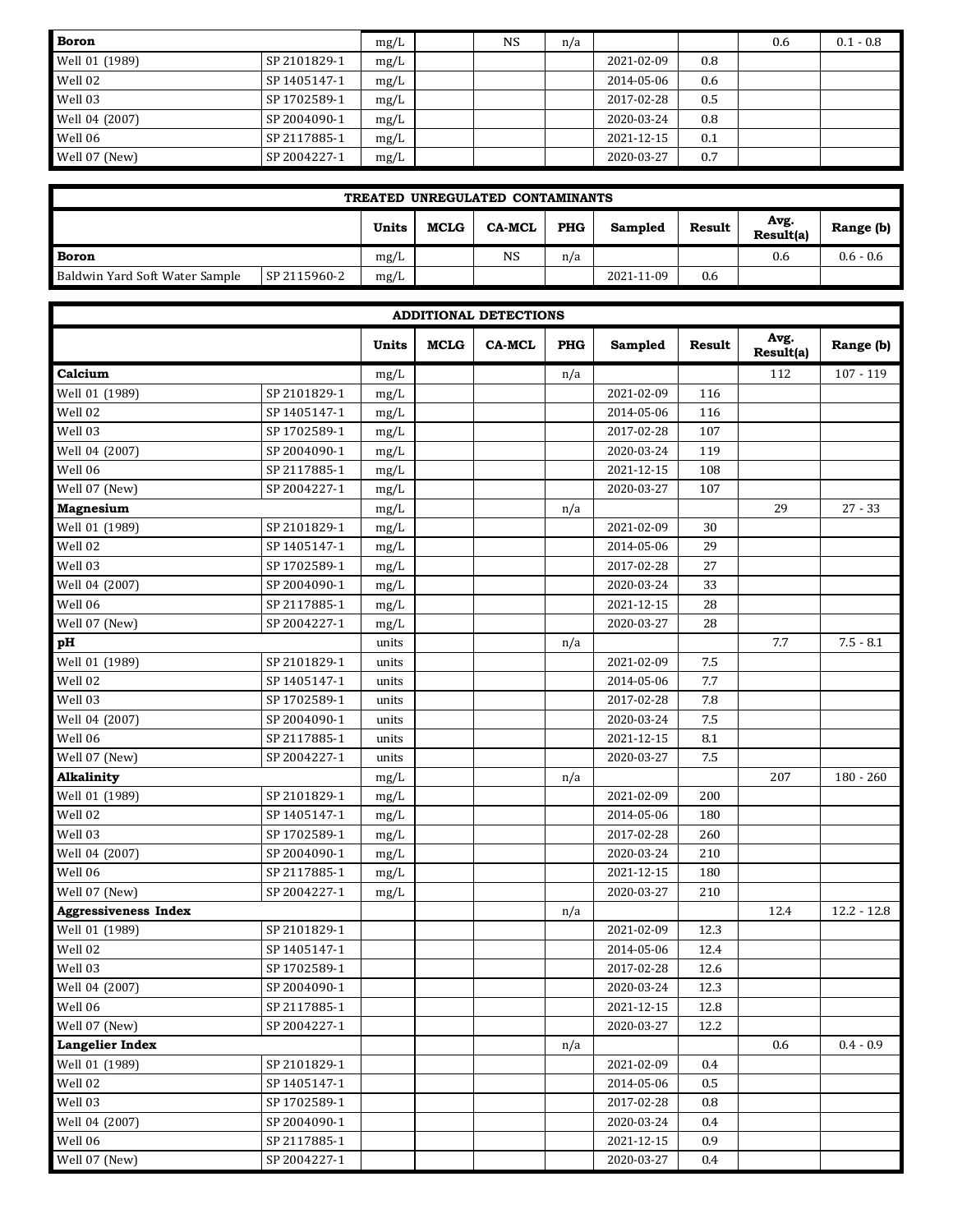| <b>Boron</b>   |              | mg/L | <b>NS</b> | n/a |            |     | 0.6 | $0.1 - 0.8$ |
|----------------|--------------|------|-----------|-----|------------|-----|-----|-------------|
| Well 01 (1989) | SP 2101829-1 | mg/L |           |     | 2021-02-09 | 0.8 |     |             |
| Well 02        | SP 1405147-1 | mg/L |           |     | 2014-05-06 | 0.6 |     |             |
| Well 03        | SP 1702589-1 | mg/L |           |     | 2017-02-28 | 0.5 |     |             |
| Well 04 (2007) | SP 2004090-1 | mg/L |           |     | 2020-03-24 | 0.8 |     |             |
| Well 06        | SP 2117885-1 | mg/L |           |     | 2021-12-15 | 0.1 |     |             |
| Well 07 (New)  | SP 2004227-1 | mg/L |           |     | 2020-03-27 | 0.7 |     |             |

| TREATED UNREGULATED CONTAMINANTS |              |       |             |               |            |            |        |                   |             |  |  |
|----------------------------------|--------------|-------|-------------|---------------|------------|------------|--------|-------------------|-------------|--|--|
|                                  |              | Units | <b>MCLG</b> | <b>CA-MCL</b> | <b>PHG</b> | Sampled    | Result | Avg.<br>Result(a) | Range (b)   |  |  |
| <b>Boron</b>                     |              |       |             | <b>NS</b>     | n/a        |            |        | 0.6               | $0.6 - 0.6$ |  |  |
| Baldwin Yard Soft Water Sample   | SP 2115960-2 | mg/L  |             |               |            | 2021-11-09 | 0.6    |                   |             |  |  |

|                             |              |       |             | <b>ADDITIONAL DETECTIONS</b> |            |            |         |                   |               |
|-----------------------------|--------------|-------|-------------|------------------------------|------------|------------|---------|-------------------|---------------|
|                             |              | Units | <b>MCLG</b> | <b>CA-MCL</b>                | <b>PHG</b> | Sampled    | Result  | Avg.<br>Result(a) | Range (b)     |
| Calcium                     |              | mg/L  |             |                              | n/a        |            |         | 112               | $107 - 119$   |
| Well 01 (1989)              | SP 2101829-1 | mg/L  |             |                              |            | 2021-02-09 | 116     |                   |               |
| Well 02                     | SP 1405147-1 | mg/L  |             |                              |            | 2014-05-06 | 116     |                   |               |
| Well 03                     | SP 1702589-1 | mg/L  |             |                              |            | 2017-02-28 | 107     |                   |               |
| Well 04 (2007)              | SP 2004090-1 | mg/L  |             |                              |            | 2020-03-24 | 119     |                   |               |
| Well 06                     | SP 2117885-1 | mg/L  |             |                              |            | 2021-12-15 | 108     |                   |               |
| Well 07 (New)               | SP 2004227-1 | mg/L  |             |                              |            | 2020-03-27 | 107     |                   |               |
| Magnesium                   |              | mg/L  |             |                              | n/a        |            |         | 29                | $27 - 33$     |
| Well 01 (1989)              | SP 2101829-1 | mg/L  |             |                              |            | 2021-02-09 | 30      |                   |               |
| Well 02                     | SP 1405147-1 | mg/L  |             |                              |            | 2014-05-06 | 29      |                   |               |
| Well 03                     | SP 1702589-1 | mg/L  |             |                              |            | 2017-02-28 | 27      |                   |               |
| Well 04 (2007)              | SP 2004090-1 | mg/L  |             |                              |            | 2020-03-24 | 33      |                   |               |
| Well 06                     | SP 2117885-1 | mg/L  |             |                              |            | 2021-12-15 | 28      |                   |               |
| Well 07 (New)               | SP 2004227-1 | mg/L  |             |                              |            | 2020-03-27 | 28      |                   |               |
| pH                          |              | units |             |                              | n/a        |            |         | 7.7               | $7.5 - 8.1$   |
| Well 01 (1989)              | SP 2101829-1 | units |             |                              |            | 2021-02-09 | 7.5     |                   |               |
| Well 02                     | SP 1405147-1 | units |             |                              |            | 2014-05-06 | 7.7     |                   |               |
| Well 03                     | SP 1702589-1 | units |             |                              |            | 2017-02-28 | 7.8     |                   |               |
| Well 04 (2007)              | SP 2004090-1 | units |             |                              |            | 2020-03-24 | 7.5     |                   |               |
| Well 06                     | SP 2117885-1 | units |             |                              |            | 2021-12-15 | 8.1     |                   |               |
| Well 07 (New)               | SP 2004227-1 | units |             |                              |            | 2020-03-27 | 7.5     |                   |               |
| Alkalinity                  |              | mg/L  |             |                              | n/a        |            |         | 207               | $180 - 260$   |
| Well 01 (1989)              | SP 2101829-1 | mg/L  |             |                              |            | 2021-02-09 | 200     |                   |               |
| Well 02                     | SP 1405147-1 | mg/L  |             |                              |            | 2014-05-06 | 180     |                   |               |
| Well 03                     | SP 1702589-1 | mg/L  |             |                              |            | 2017-02-28 | 260     |                   |               |
| Well 04 (2007)              | SP 2004090-1 | mg/L  |             |                              |            | 2020-03-24 | 210     |                   |               |
| Well 06                     | SP 2117885-1 | mg/L  |             |                              |            | 2021-12-15 | 180     |                   |               |
| $\overline{W}$ ell 07 (New) | SP 2004227-1 | mg/L  |             |                              |            | 2020-03-27 | 210     |                   |               |
| <b>Aggressiveness Index</b> |              |       |             |                              | n/a        |            |         | 12.4              | $12.2 - 12.8$ |
| Well 01 (1989)              | SP 2101829-1 |       |             |                              |            | 2021-02-09 | 12.3    |                   |               |
| $\overline{\text{Well 02}}$ | SP 1405147-1 |       |             |                              |            | 2014-05-06 | 12.4    |                   |               |
| Well 03                     | SP 1702589-1 |       |             |                              |            | 2017-02-28 | 12.6    |                   |               |
| Well 04 (2007)              | SP 2004090-1 |       |             |                              |            | 2020-03-24 | 12.3    |                   |               |
| Well 06                     | SP 2117885-1 |       |             |                              |            | 2021-12-15 | 12.8    |                   |               |
| Well 07 (New)               | SP 2004227-1 |       |             |                              |            | 2020-03-27 | 12.2    |                   |               |
| <b>Langelier Index</b>      |              |       |             |                              | n/a        |            |         | 0.6               | $0.4 - 0.9$   |
| Well 01 (1989)              | SP 2101829-1 |       |             |                              |            | 2021-02-09 | 0.4     |                   |               |
| Well 02                     | SP 1405147-1 |       |             |                              |            | 2014-05-06 | 0.5     |                   |               |
| Well 03                     | SP 1702589-1 |       |             |                              |            | 2017-02-28 | $0.8\,$ |                   |               |
| Well 04 (2007)              | SP 2004090-1 |       |             |                              |            | 2020-03-24 | 0.4     |                   |               |
| Well 06                     | SP 2117885-1 |       |             |                              |            | 2021-12-15 | 0.9     |                   |               |
| Well 07 (New)               | SP 2004227-1 |       |             |                              |            | 2020-03-27 | 0.4     |                   |               |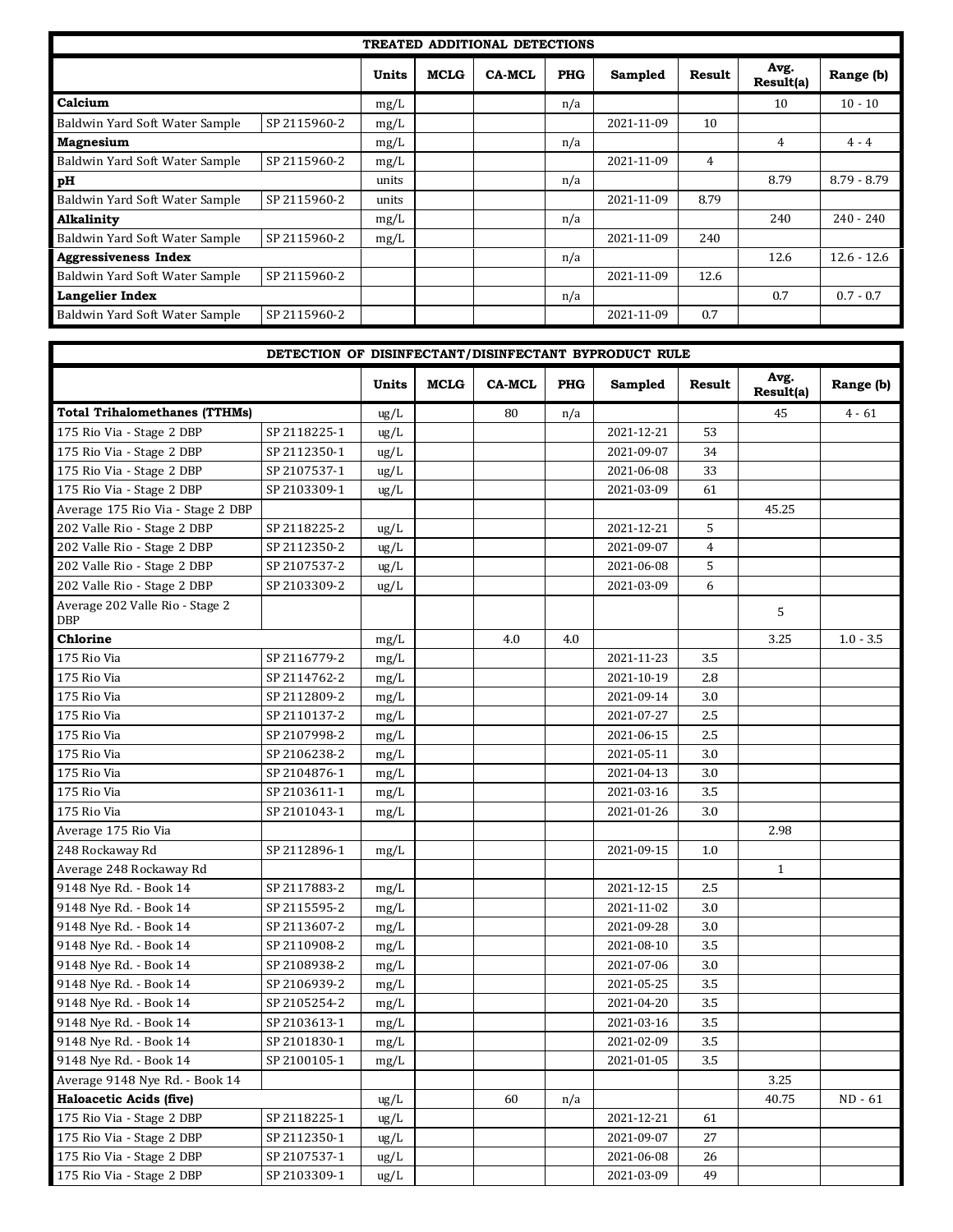| <b>TREATED ADDITIONAL DETECTIONS</b> |              |       |             |               |            |            |        |                   |               |  |  |  |
|--------------------------------------|--------------|-------|-------------|---------------|------------|------------|--------|-------------------|---------------|--|--|--|
|                                      |              | Units | <b>MCLG</b> | <b>CA-MCL</b> | <b>PHG</b> | Sampled    | Result | Avg.<br>Result(a) | Range (b)     |  |  |  |
| Calcium                              |              | mg/L  |             |               | n/a        |            |        | 10                | $10 - 10$     |  |  |  |
| Baldwin Yard Soft Water Sample       | SP 2115960-2 | mg/L  |             |               |            | 2021-11-09 | 10     |                   |               |  |  |  |
| <b>Magnesium</b>                     |              | mg/L  |             |               | n/a        |            |        | 4                 | $4 - 4$       |  |  |  |
| Baldwin Yard Soft Water Sample       | SP 2115960-2 | mg/L  |             |               |            | 2021-11-09 | 4      |                   |               |  |  |  |
| рH                                   |              | units |             |               | n/a        |            |        | 8.79              | $8.79 - 8.79$ |  |  |  |
| Baldwin Yard Soft Water Sample       | SP 2115960-2 | units |             |               |            | 2021-11-09 | 8.79   |                   |               |  |  |  |
| Alkalinity                           |              | mg/L  |             |               | n/a        |            |        | 240               | $240 - 240$   |  |  |  |
| Baldwin Yard Soft Water Sample       | SP 2115960-2 | mg/L  |             |               |            | 2021-11-09 | 240    |                   |               |  |  |  |
| <b>Aggressiveness Index</b>          |              |       |             |               | n/a        |            |        | 12.6              | $12.6 - 12.6$ |  |  |  |
| Baldwin Yard Soft Water Sample       | SP 2115960-2 |       |             |               |            | 2021-11-09 | 12.6   |                   |               |  |  |  |
| <b>Langelier Index</b>               |              |       |             |               | n/a        |            |        | 0.7               | $0.7 - 0.7$   |  |  |  |
| Baldwin Yard Soft Water Sample       | SP 2115960-2 |       |             |               |            | 2021-11-09 | 0.7    |                   |               |  |  |  |

|                                               | DETECTION OF DISINFECTANT/DISINFECTANT BYPRODUCT RULE |               |             |               |            |            |         |                   |             |
|-----------------------------------------------|-------------------------------------------------------|---------------|-------------|---------------|------------|------------|---------|-------------------|-------------|
|                                               |                                                       | <b>Units</b>  | <b>MCLG</b> | <b>CA-MCL</b> | <b>PHG</b> | Sampled    | Result  | Avg.<br>Result(a) | Range (b)   |
| <b>Total Trihalomethanes (TTHMs)</b>          |                                                       | $\text{ug/L}$ |             | 80            | n/a        |            |         | 45                | 4 - 61      |
| 175 Rio Via - Stage 2 DBP                     | SP 2118225-1                                          | ug/L          |             |               |            | 2021-12-21 | 53      |                   |             |
| 175 Rio Via - Stage 2 DBP                     | SP 2112350-1                                          | ug/L          |             |               |            | 2021-09-07 | 34      |                   |             |
| 175 Rio Via - Stage 2 DBP                     | SP 2107537-1                                          | ug/L          |             |               |            | 2021-06-08 | 33      |                   |             |
| 175 Rio Via - Stage 2 DBP                     | SP 2103309-1                                          | $\text{ug/L}$ |             |               |            | 2021-03-09 | 61      |                   |             |
| Average 175 Rio Via - Stage 2 DBP             |                                                       |               |             |               |            |            |         | 45.25             |             |
| 202 Valle Rio - Stage 2 DBP                   | SP 2118225-2                                          | $\text{ug/L}$ |             |               |            | 2021-12-21 | 5       |                   |             |
| 202 Valle Rio - Stage 2 DBP                   | SP 2112350-2                                          | $\text{ug/L}$ |             |               |            | 2021-09-07 | 4       |                   |             |
| 202 Valle Rio - Stage 2 DBP                   | SP 2107537-2                                          | $\text{ug/L}$ |             |               |            | 2021-06-08 | 5       |                   |             |
| 202 Valle Rio - Stage 2 DBP                   | SP 2103309-2                                          | ug/L          |             |               |            | 2021-03-09 | 6       |                   |             |
| Average 202 Valle Rio - Stage 2<br><b>DBP</b> |                                                       |               |             |               |            |            |         | 5                 |             |
| Chlorine                                      |                                                       | mg/L          |             | 4.0           | 4.0        |            |         | 3.25              | $1.0 - 3.5$ |
| 175 Rio Via                                   | SP 2116779-2                                          | mg/L          |             |               |            | 2021-11-23 | 3.5     |                   |             |
| 175 Rio Via                                   | SP 2114762-2                                          | mg/L          |             |               |            | 2021-10-19 | 2.8     |                   |             |
| 175 Rio Via                                   | SP 2112809-2                                          | mg/L          |             |               |            | 2021-09-14 | 3.0     |                   |             |
| 175 Rio Via                                   | SP 2110137-2                                          | mg/L          |             |               |            | 2021-07-27 | 2.5     |                   |             |
| 175 Rio Via                                   | SP 2107998-2                                          | mg/L          |             |               |            | 2021-06-15 | 2.5     |                   |             |
| 175 Rio Via                                   | SP 2106238-2                                          | mg/L          |             |               |            | 2021-05-11 | 3.0     |                   |             |
| 175 Rio Via                                   | SP 2104876-1                                          | mg/L          |             |               |            | 2021-04-13 | 3.0     |                   |             |
| 175 Rio Via                                   | SP 2103611-1                                          | mg/L          |             |               |            | 2021-03-16 | 3.5     |                   |             |
| 175 Rio Via                                   | SP 2101043-1                                          | mg/L          |             |               |            | 2021-01-26 | 3.0     |                   |             |
| Average 175 Rio Via                           |                                                       |               |             |               |            |            |         | 2.98              |             |
| 248 Rockaway Rd                               | SP 2112896-1                                          | mg/L          |             |               |            | 2021-09-15 | 1.0     |                   |             |
| Average 248 Rockaway Rd                       |                                                       |               |             |               |            |            |         | $\mathbf{1}$      |             |
| 9148 Nye Rd. - Book 14                        | SP 2117883-2                                          | mg/L          |             |               |            | 2021-12-15 | 2.5     |                   |             |
| 9148 Nye Rd. - Book 14                        | SP 2115595-2                                          | mg/L          |             |               |            | 2021-11-02 | 3.0     |                   |             |
| 9148 Nye Rd. - Book 14                        | SP 2113607-2                                          | mg/L          |             |               |            | 2021-09-28 | 3.0     |                   |             |
| 9148 Nye Rd. - Book 14                        | SP 2110908-2                                          | mg/L          |             |               |            | 2021-08-10 | 3.5     |                   |             |
| 9148 Nye Rd. - Book 14                        | SP 2108938-2                                          | mg/L          |             |               |            | 2021-07-06 | 3.0     |                   |             |
| 9148 Nye Rd. - Book 14                        | SP 2106939-2                                          | mg/L          |             |               |            | 2021-05-25 | 3.5     |                   |             |
| 9148 Nye Rd. - Book 14                        | SP 2105254-2                                          | mg/L          |             |               |            | 2021-04-20 | 3.5     |                   |             |
| 9148 Nye Rd. - Book 14                        | SP 2103613-1                                          | mg/L          |             |               |            | 2021-03-16 | 3.5     |                   |             |
| 9148 Nye Rd. - Book 14                        | SP 2101830-1                                          | mg/L          |             |               |            | 2021-02-09 | $3.5\,$ |                   |             |
| 9148 Nye Rd. - Book 14                        | SP 2100105-1                                          | mg/L          |             |               |            | 2021-01-05 | 3.5     |                   |             |
| Average 9148 Nye Rd. - Book 14                |                                                       |               |             |               |            |            |         | 3.25              |             |
| <b>Haloacetic Acids (five)</b>                |                                                       | ug/L          |             | 60            | n/a        |            |         | 40.75             | $ND - 61$   |
| 175 Rio Via - Stage 2 DBP                     | SP 2118225-1                                          | ug/L          |             |               |            | 2021-12-21 | 61      |                   |             |
| 175 Rio Via - Stage 2 DBP                     | SP 2112350-1                                          | $\text{ug/L}$ |             |               |            | 2021-09-07 | 27      |                   |             |
| 175 Rio Via - Stage 2 DBP                     | SP 2107537-1                                          | $\text{ug/L}$ |             |               |            | 2021-06-08 | 26      |                   |             |
| 175 Rio Via - Stage 2 DBP                     | SP 2103309-1                                          | ug/L          |             |               |            | 2021-03-09 | 49      |                   |             |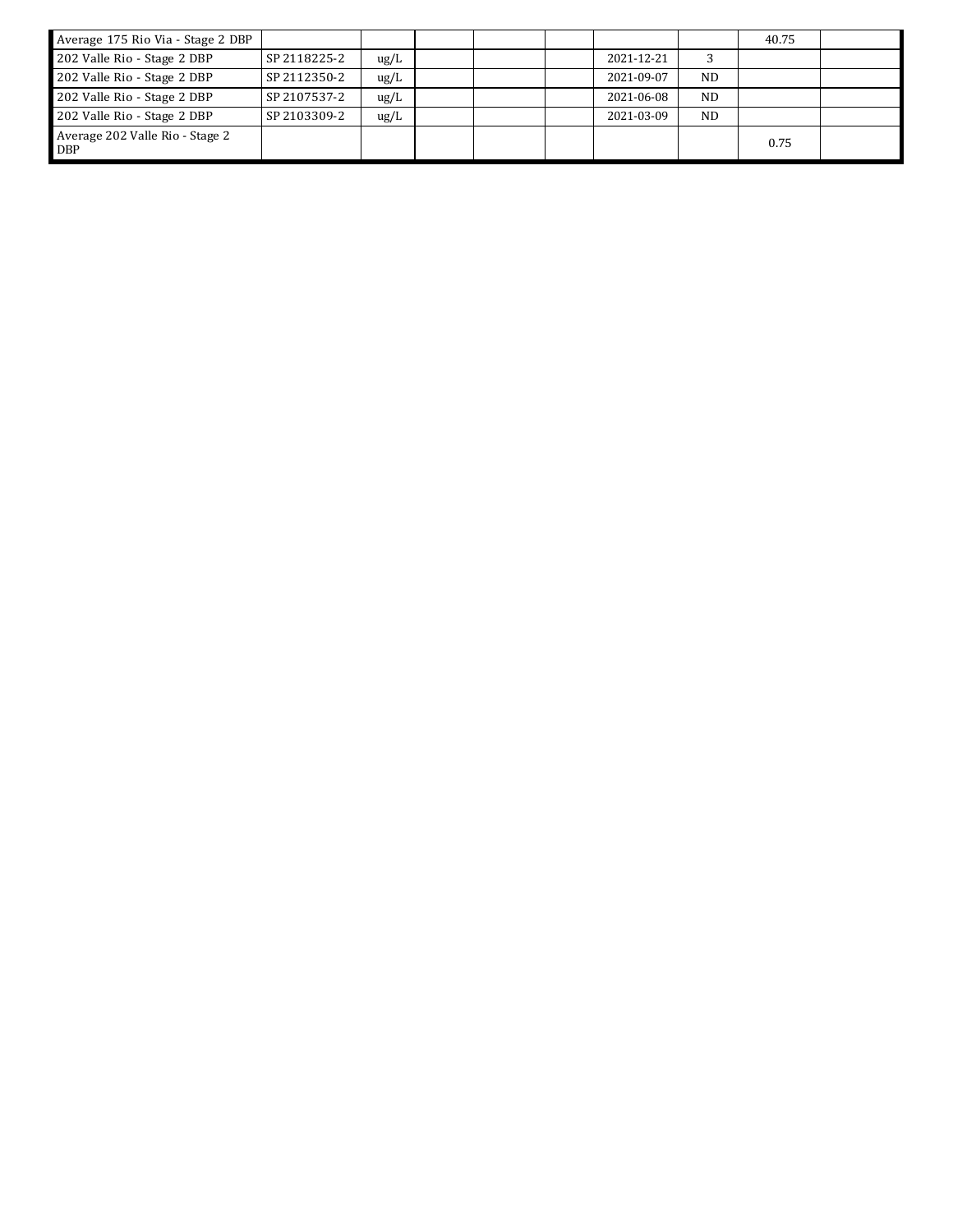| Average 175 Rio Via - Stage 2 DBP             |              |               |  |            |           | 40.75 |  |
|-----------------------------------------------|--------------|---------------|--|------------|-----------|-------|--|
| 202 Valle Rio - Stage 2 DBP                   | SP 2118225-2 | $\text{ug/L}$ |  | 2021-12-21 |           |       |  |
| 202 Valle Rio - Stage 2 DBP                   | SP 2112350-2 | $\text{ug/L}$ |  | 2021-09-07 | ND.       |       |  |
| 202 Valle Rio - Stage 2 DBP                   | SP 2107537-2 | $\text{ug/L}$ |  | 2021-06-08 | <b>ND</b> |       |  |
| 202 Valle Rio - Stage 2 DBP                   | SP 2103309-2 | $\text{ug/L}$ |  | 2021-03-09 | <b>ND</b> |       |  |
| Average 202 Valle Rio - Stage 2<br><b>DBP</b> |              |               |  |            |           | 0.75  |  |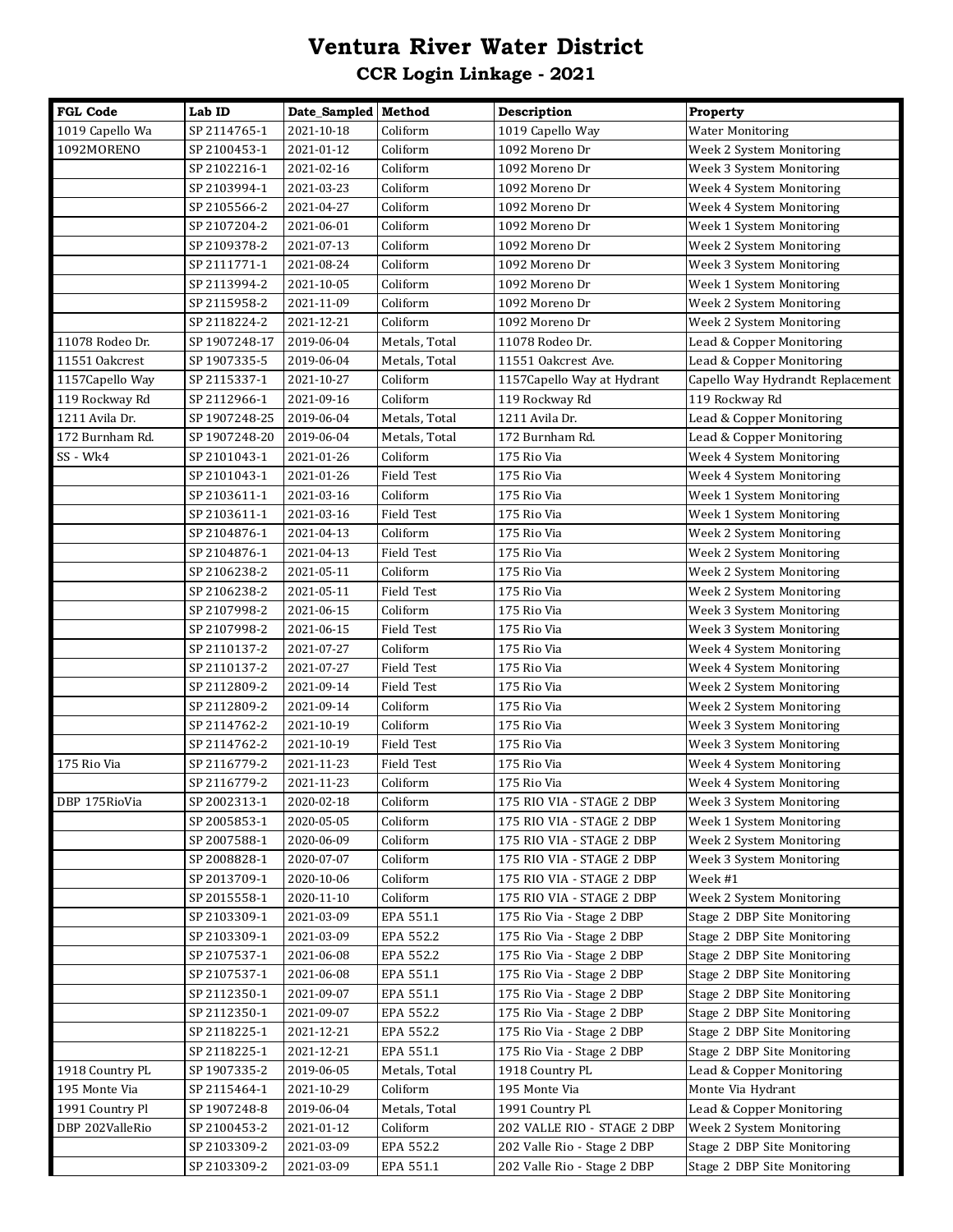# **Ventura River Water District CCR Login Linkage - 2021**

| <b>FGL Code</b>  | Lab ID        | Date_Sampled Method |                   | Description                 | Property                         |
|------------------|---------------|---------------------|-------------------|-----------------------------|----------------------------------|
| 1019 Capello Wa  | SP 2114765-1  | 2021-10-18          | Coliform          | 1019 Capello Way            | <b>Water Monitoring</b>          |
| 1092MORENO       | SP 2100453-1  | 2021-01-12          | Coliform          | 1092 Moreno Dr              | Week 2 System Monitoring         |
|                  | SP 2102216-1  | 2021-02-16          | Coliform          | 1092 Moreno Dr              | Week 3 System Monitoring         |
|                  | SP 2103994-1  | 2021-03-23          | Coliform          | 1092 Moreno Dr              | Week 4 System Monitoring         |
|                  | SP 2105566-2  | 2021-04-27          | Coliform          | 1092 Moreno Dr              | Week 4 System Monitoring         |
|                  | SP 2107204-2  | 2021-06-01          | Coliform          | 1092 Moreno Dr              | Week 1 System Monitoring         |
|                  | SP 2109378-2  | 2021-07-13          | Coliform          | 1092 Moreno Dr              | Week 2 System Monitoring         |
|                  | SP 2111771-1  | 2021-08-24          | Coliform          | 1092 Moreno Dr              | Week 3 System Monitoring         |
|                  | SP 2113994-2  | 2021-10-05          | Coliform          | 1092 Moreno Dr              | Week 1 System Monitoring         |
|                  | SP 2115958-2  | 2021-11-09          | Coliform          | 1092 Moreno Dr              | Week 2 System Monitoring         |
|                  | SP 2118224-2  | 2021-12-21          | Coliform          | 1092 Moreno Dr              | Week 2 System Monitoring         |
| 11078 Rodeo Dr.  | SP 1907248-17 | 2019-06-04          | Metals, Total     | 11078 Rodeo Dr.             | Lead & Copper Monitoring         |
| 11551 Oakcrest   | SP 1907335-5  | 2019-06-04          | Metals, Total     | 11551 Oakcrest Ave.         | Lead & Copper Monitoring         |
| 1157 Capello Way | SP 2115337-1  | 2021-10-27          | Coliform          | 1157 Capello Way at Hydrant | Capello Way Hydrandt Replacement |
| 119 Rockway Rd   | SP 2112966-1  | 2021-09-16          | Coliform          | 119 Rockway Rd              | 119 Rockway Rd                   |
| 1211 Avila Dr.   | SP 1907248-25 | 2019-06-04          | Metals, Total     | 1211 Avila Dr.              | Lead & Copper Monitoring         |
| 172 Burnham Rd.  | SP 1907248-20 | 2019-06-04          | Metals, Total     | 172 Burnham Rd.             | Lead & Copper Monitoring         |
| SS - Wk4         | SP 2101043-1  | 2021-01-26          | Coliform          | 175 Rio Via                 | Week 4 System Monitoring         |
|                  | SP 2101043-1  | 2021-01-26          | Field Test        | 175 Rio Via                 | Week 4 System Monitoring         |
|                  | SP 2103611-1  | 2021-03-16          | Coliform          | 175 Rio Via                 | Week 1 System Monitoring         |
|                  | SP 2103611-1  | 2021-03-16          | <b>Field Test</b> | 175 Rio Via                 | Week 1 System Monitoring         |
|                  | SP 2104876-1  | 2021-04-13          | Coliform          | 175 Rio Via                 | Week 2 System Monitoring         |
|                  | SP 2104876-1  | 2021-04-13          | Field Test        | 175 Rio Via                 | Week 2 System Monitoring         |
|                  | SP 2106238-2  | 2021-05-11          | Coliform          | 175 Rio Via                 | Week 2 System Monitoring         |
|                  | SP 2106238-2  | 2021-05-11          | Field Test        | 175 Rio Via                 | Week 2 System Monitoring         |
|                  | SP 2107998-2  | 2021-06-15          | Coliform          | 175 Rio Via                 | Week 3 System Monitoring         |
|                  | SP 2107998-2  | 2021-06-15          | Field Test        | 175 Rio Via                 | Week 3 System Monitoring         |
|                  | SP 2110137-2  | 2021-07-27          | Coliform          | 175 Rio Via                 | Week 4 System Monitoring         |
|                  | SP 2110137-2  | 2021-07-27          | Field Test        | 175 Rio Via                 | Week 4 System Monitoring         |
|                  | SP 2112809-2  | 2021-09-14          | <b>Field Test</b> | 175 Rio Via                 | Week 2 System Monitoring         |
|                  | SP 2112809-2  | 2021-09-14          | Coliform          | 175 Rio Via                 | Week 2 System Monitoring         |
|                  | SP 2114762-2  | 2021-10-19          | Coliform          | 175 Rio Via                 | Week 3 System Monitoring         |
|                  | SP 2114762-2  | 2021-10-19          | <b>Field Test</b> | 175 Rio Via                 | Week 3 System Monitoring         |
| 175 Rio Via      | SP 2116779-2  | 2021-11-23          | Field Test        | 175 Rio Via                 | Week 4 System Monitoring         |
|                  | SP 2116779-2  | 2021-11-23          | Coliform          | 175 Rio Via                 | Week 4 System Monitoring         |
| DBP 175RioVia    | SP 2002313-1  | 2020-02-18          | Coliform          | 175 RIO VIA - STAGE 2 DBP   | Week 3 System Monitoring         |
|                  | SP 2005853-1  | 2020-05-05          | Coliform          | 175 RIO VIA - STAGE 2 DBP   | Week 1 System Monitoring         |
|                  | SP 2007588-1  | 2020-06-09          | Coliform          | 175 RIO VIA - STAGE 2 DBP   | Week 2 System Monitoring         |
|                  | SP 2008828-1  | 2020-07-07          | Coliform          | 175 RIO VIA - STAGE 2 DBP   | Week 3 System Monitoring         |
|                  | SP 2013709-1  | 2020-10-06          | Coliform          | 175 RIO VIA - STAGE 2 DBP   | Week #1                          |
|                  | SP 2015558-1  | 2020-11-10          | Coliform          | 175 RIO VIA - STAGE 2 DBP   | Week 2 System Monitoring         |
|                  | SP 2103309-1  | 2021-03-09          | EPA 551.1         | 175 Rio Via - Stage 2 DBP   | Stage 2 DBP Site Monitoring      |
|                  | SP 2103309-1  | 2021-03-09          | EPA 552.2         | 175 Rio Via - Stage 2 DBP   | Stage 2 DBP Site Monitoring      |
|                  | SP 2107537-1  | 2021-06-08          | EPA 552.2         | 175 Rio Via - Stage 2 DBP   | Stage 2 DBP Site Monitoring      |
|                  | SP 2107537-1  | 2021-06-08          | EPA 551.1         | 175 Rio Via - Stage 2 DBP   | Stage 2 DBP Site Monitoring      |
|                  | SP 2112350-1  | 2021-09-07          | EPA 551.1         | 175 Rio Via - Stage 2 DBP   | Stage 2 DBP Site Monitoring      |
|                  | SP 2112350-1  | 2021-09-07          | EPA 552.2         | 175 Rio Via - Stage 2 DBP   | Stage 2 DBP Site Monitoring      |
|                  | SP 2118225-1  | 2021-12-21          | EPA 552.2         | 175 Rio Via - Stage 2 DBP   | Stage 2 DBP Site Monitoring      |
|                  | SP 2118225-1  | 2021-12-21          | EPA 551.1         | 175 Rio Via - Stage 2 DBP   | Stage 2 DBP Site Monitoring      |
| 1918 Country PL  | SP 1907335-2  | 2019-06-05          | Metals, Total     | 1918 Country PL             | Lead & Copper Monitoring         |
| 195 Monte Via    | SP 2115464-1  | 2021-10-29          | Coliform          | 195 Monte Via               | Monte Via Hydrant                |
| 1991 Country Pl  | SP 1907248-8  | 2019-06-04          | Metals, Total     | 1991 Country Pl.            | Lead & Copper Monitoring         |
| DBP 202ValleRio  | SP 2100453-2  | 2021-01-12          | Coliform          | 202 VALLE RIO - STAGE 2 DBP | Week 2 System Monitoring         |
|                  | SP 2103309-2  | 2021-03-09          | EPA 552.2         | 202 Valle Rio - Stage 2 DBP | Stage 2 DBP Site Monitoring      |
|                  | SP 2103309-2  | 2021-03-09          | EPA 551.1         | 202 Valle Rio - Stage 2 DBP | Stage 2 DBP Site Monitoring      |
|                  |               |                     |                   |                             |                                  |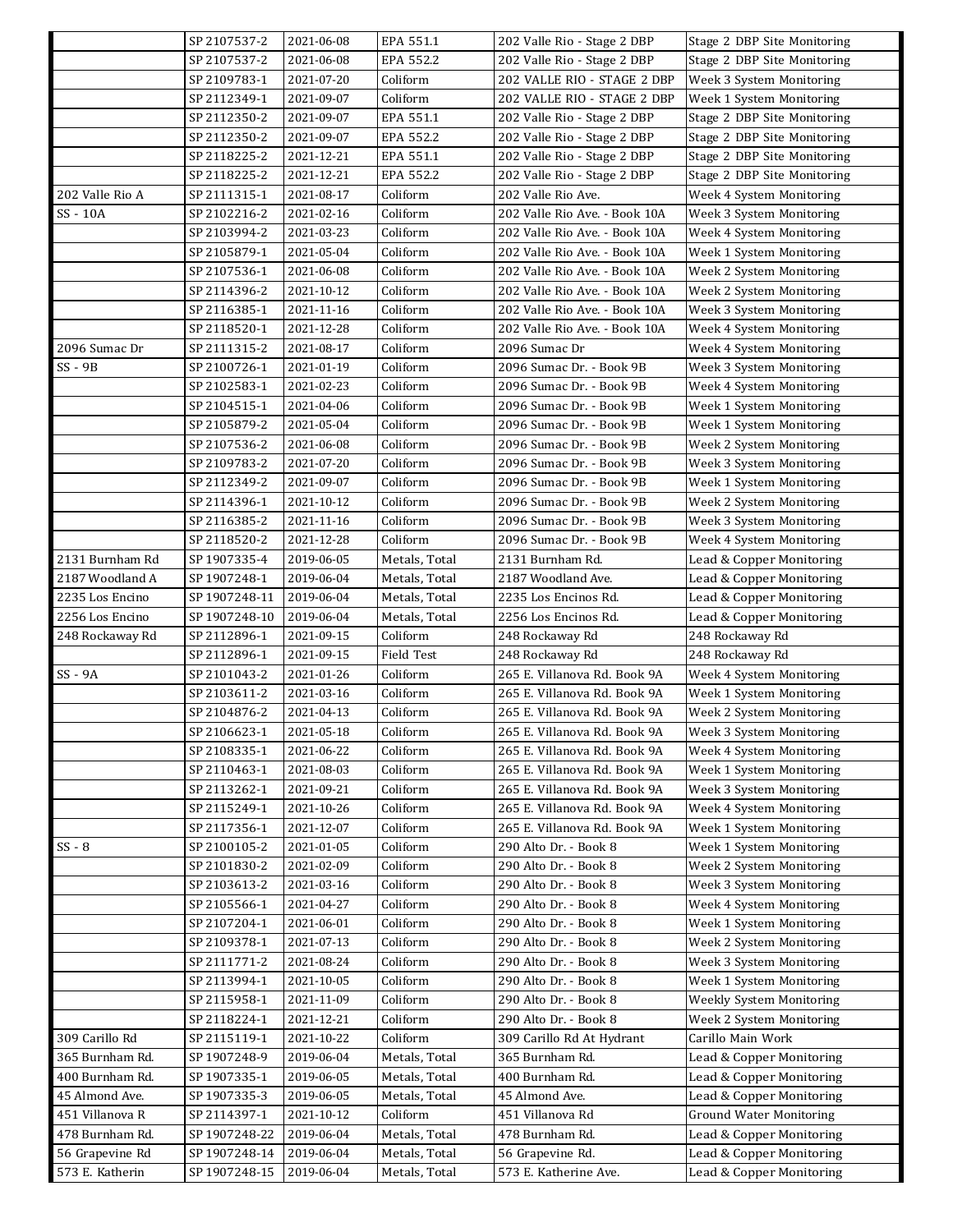|                 | SP 2107537-2  | 2021-06-08 | EPA 551.1     | 202 Valle Rio - Stage 2 DBP   | Stage 2 DBP Site Monitoring    |
|-----------------|---------------|------------|---------------|-------------------------------|--------------------------------|
|                 | SP 2107537-2  | 2021-06-08 | EPA 552.2     | 202 Valle Rio - Stage 2 DBP   | Stage 2 DBP Site Monitoring    |
|                 | SP 2109783-1  | 2021-07-20 | Coliform      | 202 VALLE RIO - STAGE 2 DBP   | Week 3 System Monitoring       |
|                 | SP 2112349-1  | 2021-09-07 | Coliform      | 202 VALLE RIO - STAGE 2 DBP   | Week 1 System Monitoring       |
|                 | SP 2112350-2  | 2021-09-07 | EPA 551.1     | 202 Valle Rio - Stage 2 DBP   | Stage 2 DBP Site Monitoring    |
|                 | SP 2112350-2  | 2021-09-07 | EPA 552.2     | 202 Valle Rio - Stage 2 DBP   | Stage 2 DBP Site Monitoring    |
|                 | SP 2118225-2  | 2021-12-21 | EPA 551.1     | 202 Valle Rio - Stage 2 DBP   | Stage 2 DBP Site Monitoring    |
|                 | SP 2118225-2  | 2021-12-21 | EPA 552.2     | 202 Valle Rio - Stage 2 DBP   | Stage 2 DBP Site Monitoring    |
| 202 Valle Rio A | SP 2111315-1  | 2021-08-17 | Coliform      | 202 Valle Rio Ave.            | Week 4 System Monitoring       |
| SS - 10A        | SP 2102216-2  | 2021-02-16 | Coliform      | 202 Valle Rio Ave. - Book 10A | Week 3 System Monitoring       |
|                 | SP 2103994-2  | 2021-03-23 | Coliform      | 202 Valle Rio Ave. - Book 10A | Week 4 System Monitoring       |
|                 | SP 2105879-1  | 2021-05-04 | Coliform      | 202 Valle Rio Ave. - Book 10A | Week 1 System Monitoring       |
|                 | SP 2107536-1  | 2021-06-08 | Coliform      | 202 Valle Rio Ave. - Book 10A | Week 2 System Monitoring       |
|                 | SP 2114396-2  | 2021-10-12 | Coliform      | 202 Valle Rio Ave. - Book 10A | Week 2 System Monitoring       |
|                 | SP 2116385-1  | 2021-11-16 | Coliform      | 202 Valle Rio Ave. - Book 10A | Week 3 System Monitoring       |
|                 | SP 2118520-1  | 2021-12-28 | Coliform      | 202 Valle Rio Ave. - Book 10A | Week 4 System Monitoring       |
| 2096 Sumac Dr   | SP 2111315-2  | 2021-08-17 | Coliform      | 2096 Sumac Dr                 | Week 4 System Monitoring       |
| $SS - 9B$       | SP 2100726-1  | 2021-01-19 | Coliform      | 2096 Sumac Dr. - Book 9B      | Week 3 System Monitoring       |
|                 | SP 2102583-1  | 2021-02-23 | Coliform      | 2096 Sumac Dr. - Book 9B      | Week 4 System Monitoring       |
|                 | SP 2104515-1  | 2021-04-06 | Coliform      | 2096 Sumac Dr. - Book 9B      | Week 1 System Monitoring       |
|                 | SP 2105879-2  | 2021-05-04 | Coliform      | 2096 Sumac Dr. - Book 9B      | Week 1 System Monitoring       |
|                 | SP 2107536-2  | 2021-06-08 | Coliform      | 2096 Sumac Dr. - Book 9B      | Week 2 System Monitoring       |
|                 | SP 2109783-2  | 2021-07-20 | Coliform      | 2096 Sumac Dr. - Book 9B      | Week 3 System Monitoring       |
|                 | SP 2112349-2  | 2021-09-07 | Coliform      | 2096 Sumac Dr. - Book 9B      | Week 1 System Monitoring       |
|                 | SP 2114396-1  | 2021-10-12 | Coliform      | 2096 Sumac Dr. - Book 9B      | Week 2 System Monitoring       |
|                 | SP 2116385-2  | 2021-11-16 | Coliform      | 2096 Sumac Dr. - Book 9B      | Week 3 System Monitoring       |
|                 | SP 2118520-2  | 2021-12-28 | Coliform      | 2096 Sumac Dr. - Book 9B      | Week 4 System Monitoring       |
| 2131 Burnham Rd | SP 1907335-4  | 2019-06-05 | Metals, Total | 2131 Burnham Rd.              | Lead & Copper Monitoring       |
| 2187 Woodland A | SP 1907248-1  | 2019-06-04 | Metals, Total | 2187 Woodland Ave.            | Lead & Copper Monitoring       |
| 2235 Los Encino | SP 1907248-11 | 2019-06-04 | Metals, Total | 2235 Los Encinos Rd.          | Lead & Copper Monitoring       |
| 2256 Los Encino | SP 1907248-10 | 2019-06-04 | Metals, Total | 2256 Los Encinos Rd.          | Lead & Copper Monitoring       |
| 248 Rockaway Rd | SP 2112896-1  | 2021-09-15 | Coliform      | 248 Rockaway Rd               | 248 Rockaway Rd                |
|                 | SP 2112896-1  | 2021-09-15 | Field Test    | 248 Rockaway Rd               | 248 Rockaway Rd                |
| SS - 9A         | SP 2101043-2  | 2021-01-26 | Coliform      | 265 E. Villanova Rd. Book 9A  | Week 4 System Monitoring       |
|                 | SP 2103611-2  | 2021-03-16 | Coliform      | 265 E. Villanova Rd. Book 9A  | Week 1 System Monitoring       |
|                 | SP 2104876-2  | 2021-04-13 | Coliform      | 265 E. Villanova Rd. Book 9A  | Week 2 System Monitoring       |
|                 | SP 2106623-1  | 2021-05-18 | Coliform      | 265 E. Villanova Rd. Book 9A  | Week 3 System Monitoring       |
|                 | SP 2108335-1  | 2021-06-22 | Coliform      | 265 E. Villanova Rd. Book 9A  | Week 4 System Monitoring       |
|                 | SP 2110463-1  | 2021-08-03 | Coliform      | 265 E. Villanova Rd. Book 9A  | Week 1 System Monitoring       |
|                 | SP 2113262-1  | 2021-09-21 | Coliform      | 265 E. Villanova Rd. Book 9A  | Week 3 System Monitoring       |
|                 | SP 2115249-1  | 2021-10-26 | Coliform      | 265 E. Villanova Rd. Book 9A  | Week 4 System Monitoring       |
|                 | SP 2117356-1  | 2021-12-07 | Coliform      | 265 E. Villanova Rd. Book 9A  | Week 1 System Monitoring       |
| $SS - 8$        | SP 2100105-2  | 2021-01-05 | Coliform      | 290 Alto Dr. - Book 8         | Week 1 System Monitoring       |
|                 | SP 2101830-2  | 2021-02-09 | Coliform      | 290 Alto Dr. - Book 8         | Week 2 System Monitoring       |
|                 | SP 2103613-2  | 2021-03-16 | Coliform      | 290 Alto Dr. - Book 8         | Week 3 System Monitoring       |
|                 | SP 2105566-1  | 2021-04-27 | Coliform      | 290 Alto Dr. - Book 8         | Week 4 System Monitoring       |
|                 | SP 2107204-1  | 2021-06-01 | Coliform      | 290 Alto Dr. - Book 8         | Week 1 System Monitoring       |
|                 | SP 2109378-1  | 2021-07-13 | Coliform      | 290 Alto Dr. - Book 8         | Week 2 System Monitoring       |
|                 | SP 2111771-2  | 2021-08-24 | Coliform      | 290 Alto Dr. - Book 8         | Week 3 System Monitoring       |
|                 | SP 2113994-1  | 2021-10-05 | Coliform      | 290 Alto Dr. - Book 8         | Week 1 System Monitoring       |
|                 | SP 2115958-1  | 2021-11-09 | Coliform      | 290 Alto Dr. - Book 8         | Weekly System Monitoring       |
|                 | SP 2118224-1  | 2021-12-21 | Coliform      | 290 Alto Dr. - Book 8         | Week 2 System Monitoring       |
| 309 Carillo Rd  | SP 2115119-1  | 2021-10-22 | Coliform      | 309 Carillo Rd At Hydrant     | Carillo Main Work              |
| 365 Burnham Rd. | SP 1907248-9  | 2019-06-04 | Metals, Total | 365 Burnham Rd.               | Lead & Copper Monitoring       |
| 400 Burnham Rd. | SP 1907335-1  | 2019-06-05 | Metals, Total | 400 Burnham Rd.               | Lead & Copper Monitoring       |
| 45 Almond Ave.  | SP 1907335-3  | 2019-06-05 | Metals, Total | 45 Almond Ave.                | Lead & Copper Monitoring       |
| 451 Villanova R | SP 2114397-1  | 2021-10-12 | Coliform      | 451 Villanova Rd              | <b>Ground Water Monitoring</b> |
| 478 Burnham Rd. | SP 1907248-22 | 2019-06-04 | Metals, Total | 478 Burnham Rd.               | Lead & Copper Monitoring       |
| 56 Grapevine Rd | SP 1907248-14 | 2019-06-04 | Metals, Total | 56 Grapevine Rd.              | Lead & Copper Monitoring       |
| 573 E. Katherin | SP 1907248-15 | 2019-06-04 | Metals, Total | 573 E. Katherine Ave.         | Lead & Copper Monitoring       |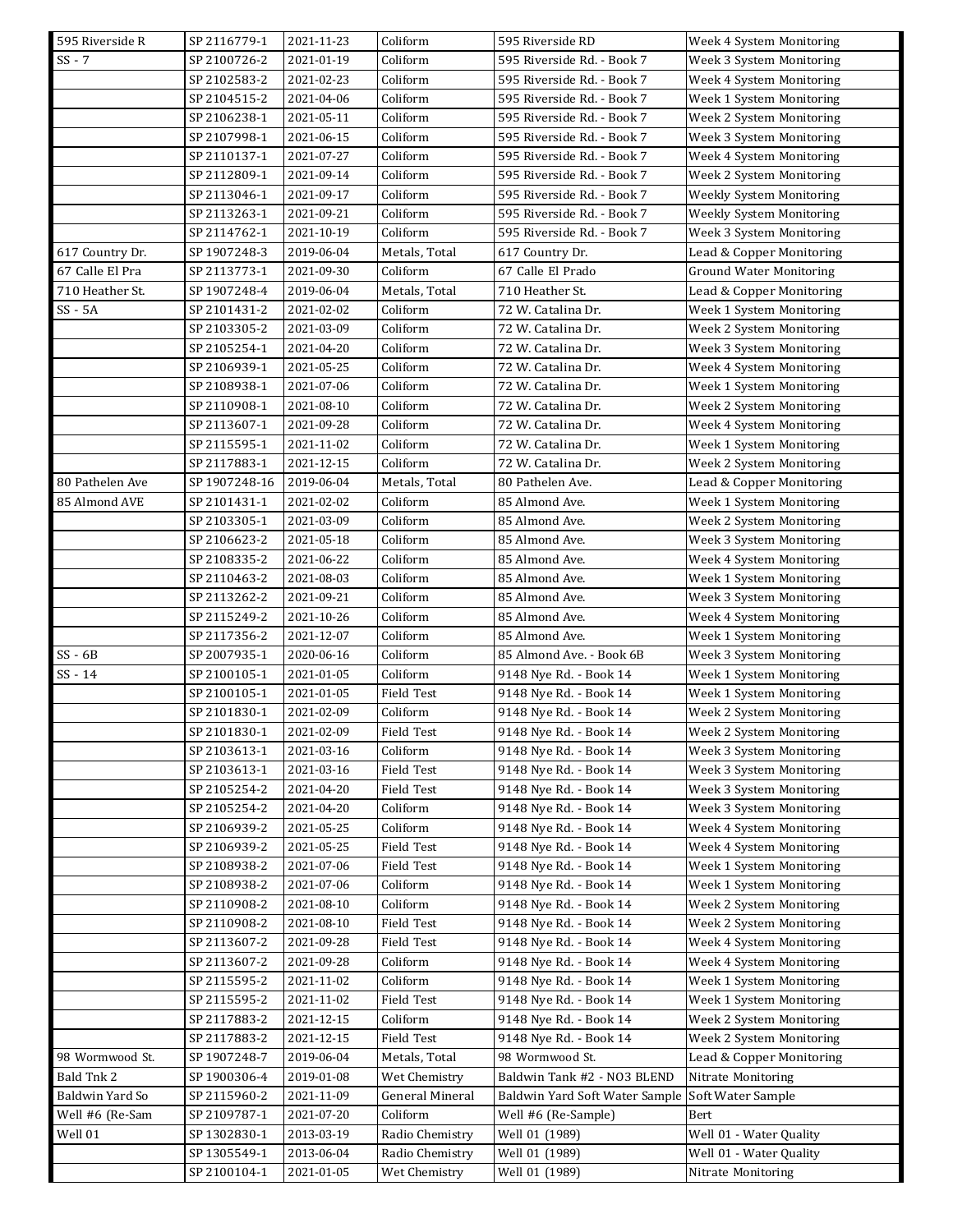| 595 Riverside R | SP 2116779-1  | 2021-11-23 | Coliform        | 595 Riverside RD               | Week 4 System Monitoring       |
|-----------------|---------------|------------|-----------------|--------------------------------|--------------------------------|
| $SS - 7$        | SP 2100726-2  | 2021-01-19 | Coliform        | 595 Riverside Rd. - Book 7     | Week 3 System Monitoring       |
|                 | SP 2102583-2  | 2021-02-23 | Coliform        | 595 Riverside Rd. - Book 7     | Week 4 System Monitoring       |
|                 | SP 2104515-2  | 2021-04-06 | Coliform        | 595 Riverside Rd. - Book 7     | Week 1 System Monitoring       |
|                 | SP 2106238-1  | 2021-05-11 | Coliform        | 595 Riverside Rd. - Book 7     | Week 2 System Monitoring       |
|                 | SP 2107998-1  | 2021-06-15 | Coliform        | 595 Riverside Rd. - Book 7     | Week 3 System Monitoring       |
|                 | SP 2110137-1  | 2021-07-27 | Coliform        | 595 Riverside Rd. - Book 7     | Week 4 System Monitoring       |
|                 | SP 2112809-1  | 2021-09-14 | Coliform        | 595 Riverside Rd. - Book 7     | Week 2 System Monitoring       |
|                 | SP 2113046-1  | 2021-09-17 | Coliform        | 595 Riverside Rd. - Book 7     | Weekly System Monitoring       |
|                 | SP 2113263-1  | 2021-09-21 | Coliform        | 595 Riverside Rd. - Book 7     | Weekly System Monitoring       |
|                 | SP 2114762-1  | 2021-10-19 | Coliform        | 595 Riverside Rd. - Book 7     | Week 3 System Monitoring       |
| 617 Country Dr. | SP 1907248-3  | 2019-06-04 | Metals, Total   | 617 Country Dr.                | Lead & Copper Monitoring       |
| 67 Calle El Pra | SP 2113773-1  | 2021-09-30 | Coliform        | 67 Calle El Prado              | <b>Ground Water Monitoring</b> |
| 710 Heather St. | SP 1907248-4  | 2019-06-04 | Metals, Total   | 710 Heather St.                | Lead & Copper Monitoring       |
| $SS - 5A$       | SP 2101431-2  | 2021-02-02 | Coliform        | 72 W. Catalina Dr.             | Week 1 System Monitoring       |
|                 | SP 2103305-2  | 2021-03-09 | Coliform        | 72 W. Catalina Dr.             | Week 2 System Monitoring       |
|                 | SP 2105254-1  | 2021-04-20 | Coliform        | 72 W. Catalina Dr.             | Week 3 System Monitoring       |
|                 | SP 2106939-1  | 2021-05-25 | Coliform        | 72 W. Catalina Dr.             | Week 4 System Monitoring       |
|                 | SP 2108938-1  | 2021-07-06 | Coliform        | 72 W. Catalina Dr.             | Week 1 System Monitoring       |
|                 | SP 2110908-1  | 2021-08-10 | Coliform        | 72 W. Catalina Dr.             | Week 2 System Monitoring       |
|                 | SP 2113607-1  | 2021-09-28 | Coliform        |                                |                                |
|                 |               |            | Coliform        | 72 W. Catalina Dr.             | Week 4 System Monitoring       |
|                 | SP 2115595-1  | 2021-11-02 |                 | 72 W. Catalina Dr.             | Week 1 System Monitoring       |
|                 | SP 2117883-1  | 2021-12-15 | Coliform        | 72 W. Catalina Dr.             | Week 2 System Monitoring       |
| 80 Pathelen Ave | SP 1907248-16 | 2019-06-04 | Metals, Total   | 80 Pathelen Ave.               | Lead & Copper Monitoring       |
| 85 Almond AVE   | SP 2101431-1  | 2021-02-02 | Coliform        | 85 Almond Ave.                 | Week 1 System Monitoring       |
|                 | SP 2103305-1  | 2021-03-09 | Coliform        | 85 Almond Ave.                 | Week 2 System Monitoring       |
|                 | SP 2106623-2  | 2021-05-18 | Coliform        | 85 Almond Ave.                 | Week 3 System Monitoring       |
|                 | SP 2108335-2  | 2021-06-22 | Coliform        | 85 Almond Ave.                 | Week 4 System Monitoring       |
|                 | SP 2110463-2  | 2021-08-03 | Coliform        | 85 Almond Ave.                 | Week 1 System Monitoring       |
|                 | SP 2113262-2  | 2021-09-21 | Coliform        | 85 Almond Ave.                 | Week 3 System Monitoring       |
|                 | SP 2115249-2  | 2021-10-26 | Coliform        | 85 Almond Ave.                 | Week 4 System Monitoring       |
|                 | SP 2117356-2  | 2021-12-07 | Coliform        | 85 Almond Ave.                 | Week 1 System Monitoring       |
| $SS - 6B$       | SP 2007935-1  | 2020-06-16 | Coliform        | 85 Almond Ave. - Book 6B       | Week 3 System Monitoring       |
| $SS - 14$       | SP 2100105-1  | 2021-01-05 | Coliform        | 9148 Nye Rd. - Book 14         | Week 1 System Monitoring       |
|                 | SP 2100105-1  | 2021-01-05 | Field Test      | 9148 Nye Rd. - Book 14         | Week 1 System Monitoring       |
|                 | SP 2101830-1  | 2021-02-09 | Coliform        | 9148 Nye Rd. - Book 14         | Week 2 System Monitoring       |
|                 | SP 2101830-1  | 2021-02-09 | Field Test      | 9148 Nye Rd. - Book 14         | Week 2 System Monitoring       |
|                 | SP 2103613-1  | 2021-03-16 | Coliform        | 9148 Nye Rd. - Book 14         | Week 3 System Monitoring       |
|                 | SP 2103613-1  | 2021-03-16 | Field Test      | 9148 Nye Rd. - Book 14         | Week 3 System Monitoring       |
|                 | SP 2105254-2  | 2021-04-20 | Field Test      | 9148 Nye Rd. - Book 14         | Week 3 System Monitoring       |
|                 | SP 2105254-2  | 2021-04-20 | Coliform        | 9148 Nye Rd. - Book 14         | Week 3 System Monitoring       |
|                 | SP 2106939-2  | 2021-05-25 | Coliform        | 9148 Nye Rd. - Book 14         | Week 4 System Monitoring       |
|                 | SP 2106939-2  | 2021-05-25 | Field Test      | 9148 Nye Rd. - Book 14         | Week 4 System Monitoring       |
|                 | SP 2108938-2  | 2021-07-06 | Field Test      | 9148 Nye Rd. - Book 14         | Week 1 System Monitoring       |
|                 | SP 2108938-2  | 2021-07-06 | Coliform        | 9148 Nye Rd. - Book 14         | Week 1 System Monitoring       |
|                 | SP 2110908-2  | 2021-08-10 | Coliform        | 9148 Nye Rd. - Book 14         | Week 2 System Monitoring       |
|                 | SP 2110908-2  | 2021-08-10 | Field Test      | 9148 Nye Rd. - Book 14         | Week 2 System Monitoring       |
|                 | SP 2113607-2  | 2021-09-28 | Field Test      | 9148 Nye Rd. - Book 14         | Week 4 System Monitoring       |
|                 | SP 2113607-2  | 2021-09-28 | Coliform        | 9148 Nye Rd. - Book 14         | Week 4 System Monitoring       |
|                 | SP 2115595-2  | 2021-11-02 | Coliform        | 9148 Nye Rd. - Book 14         | Week 1 System Monitoring       |
|                 | SP 2115595-2  | 2021-11-02 | Field Test      | 9148 Nye Rd. - Book 14         | Week 1 System Monitoring       |
|                 | SP 2117883-2  | 2021-12-15 | Coliform        | 9148 Nye Rd. - Book 14         | Week 2 System Monitoring       |
|                 | SP 2117883-2  | 2021-12-15 | Field Test      | 9148 Nye Rd. - Book 14         | Week 2 System Monitoring       |
| 98 Wormwood St. | SP 1907248-7  | 2019-06-04 | Metals, Total   | 98 Wormwood St.                | Lead & Copper Monitoring       |
| Bald Tnk 2      | SP 1900306-4  | 2019-01-08 | Wet Chemistry   | Baldwin Tank #2 - NO3 BLEND    | Nitrate Monitoring             |
| Baldwin Yard So | SP 2115960-2  | 2021-11-09 | General Mineral | Baldwin Yard Soft Water Sample | Soft Water Sample              |
| Well #6 (Re-Sam | SP 2109787-1  | 2021-07-20 | Coliform        | Well #6 (Re-Sample)            | Bert                           |
| Well 01         | SP 1302830-1  | 2013-03-19 | Radio Chemistry | Well 01 (1989)                 | Well 01 - Water Quality        |
|                 | SP 1305549-1  | 2013-06-04 | Radio Chemistry | Well 01 (1989)                 | Well 01 - Water Quality        |
|                 | SP 2100104-1  | 2021-01-05 | Wet Chemistry   | Well 01 (1989)                 | Nitrate Monitoring             |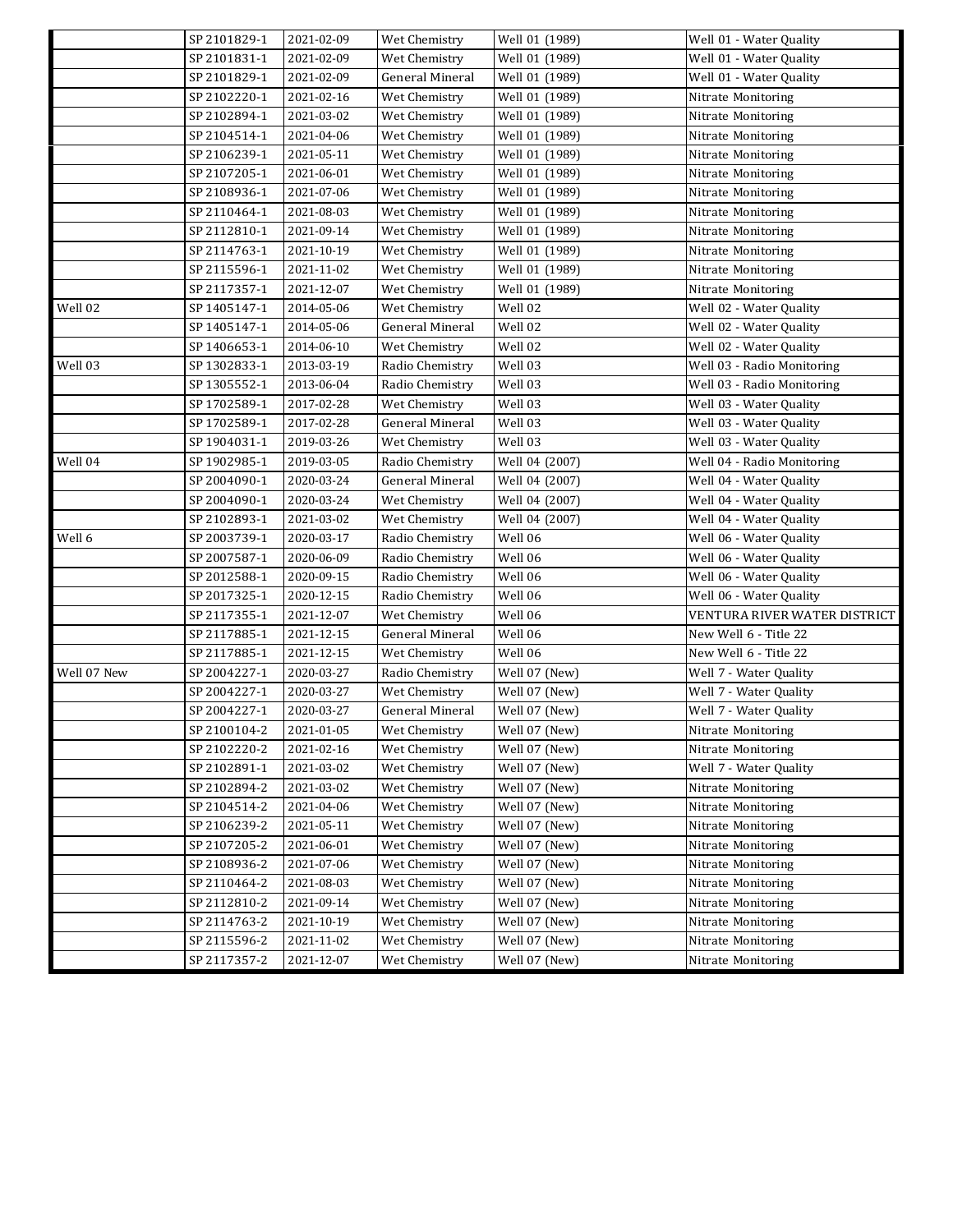|             | SP 2101829-1 | 2021-02-09       | Wet Chemistry          | Well 01 (1989) | Well 01 - Water Quality      |
|-------------|--------------|------------------|------------------------|----------------|------------------------------|
|             | SP 2101831-1 | 2021-02-09       | Wet Chemistry          | Well 01 (1989) | Well 01 - Water Quality      |
|             | SP 2101829-1 | 2021-02-09       | <b>General Mineral</b> | Well 01 (1989) | Well 01 - Water Quality      |
|             | SP 2102220-1 | 2021-02-16       | Wet Chemistry          | Well 01 (1989) | Nitrate Monitoring           |
|             | SP 2102894-1 | 2021-03-02       | Wet Chemistry          | Well 01 (1989) | Nitrate Monitoring           |
|             | SP 2104514-1 | 2021-04-06       | Wet Chemistry          | Well 01 (1989) | Nitrate Monitoring           |
|             | SP 2106239-1 | 2021-05-11       | Wet Chemistry          | Well 01 (1989) | Nitrate Monitoring           |
|             | SP 2107205-1 | 2021-06-01       | Wet Chemistry          | Well 01 (1989) | Nitrate Monitoring           |
|             | SP 2108936-1 | 2021-07-06       | Wet Chemistry          | Well 01 (1989) | Nitrate Monitoring           |
|             | SP 2110464-1 | 2021-08-03       | Wet Chemistry          | Well 01 (1989) | Nitrate Monitoring           |
|             | SP 2112810-1 | 2021-09-14       | Wet Chemistry          | Well 01 (1989) | Nitrate Monitoring           |
|             | SP 2114763-1 | 2021-10-19       | Wet Chemistry          | Well 01 (1989) | Nitrate Monitoring           |
|             | SP 2115596-1 | 2021-11-02       | Wet Chemistry          | Well 01 (1989) | Nitrate Monitoring           |
|             | SP 2117357-1 | 2021-12-07       | Wet Chemistry          | Well 01 (1989) | Nitrate Monitoring           |
| Well 02     | SP 1405147-1 | 2014-05-06       | Wet Chemistry          | Well 02        | Well 02 - Water Quality      |
|             | SP 1405147-1 | 2014-05-06       | General Mineral        | Well 02        | Well 02 - Water Quality      |
|             | SP 1406653-1 | 2014-06-10       | Wet Chemistry          | Well 02        | Well 02 - Water Quality      |
| Well 03     | SP 1302833-1 | 2013-03-19       | Radio Chemistry        | Well 03        | Well 03 - Radio Monitoring   |
|             | SP 1305552-1 | 2013-06-04       | Radio Chemistry        | Well 03        | Well 03 - Radio Monitoring   |
|             | SP 1702589-1 | 2017-02-28       | Wet Chemistry          | Well 03        | Well 03 - Water Quality      |
|             | SP 1702589-1 | 2017-02-28       | General Mineral        | Well 03        | Well 03 - Water Quality      |
|             | SP 1904031-1 | 2019-03-26       | Wet Chemistry          | Well 03        | Well 03 - Water Quality      |
| Well 04     | SP 1902985-1 | 2019-03-05       | Radio Chemistry        | Well 04 (2007) | Well 04 - Radio Monitoring   |
|             | SP 2004090-1 | 2020-03-24       | General Mineral        | Well 04 (2007) | Well 04 - Water Quality      |
|             | SP 2004090-1 | 2020-03-24       | Wet Chemistry          | Well 04 (2007) | Well 04 - Water Quality      |
|             | SP 2102893-1 | 2021-03-02       | Wet Chemistry          | Well 04 (2007) | Well 04 - Water Quality      |
| Well 6      | SP 2003739-1 | 2020-03-17       | Radio Chemistry        | Well 06        | Well 06 - Water Quality      |
|             | SP 2007587-1 | 2020-06-09       | Radio Chemistry        | Well 06        | Well 06 - Water Quality      |
|             | SP 2012588-1 | 2020-09-15       | Radio Chemistry        | Well 06        | Well 06 - Water Quality      |
|             | SP 2017325-1 | 2020-12-15       | Radio Chemistry        | Well 06        | Well 06 - Water Quality      |
|             | SP 2117355-1 | 2021-12-07       | Wet Chemistry          | Well 06        | VENTURA RIVER WATER DISTRICT |
|             | SP 2117885-1 | 2021-12-15       | General Mineral        | Well 06        | New Well 6 - Title 22        |
|             | SP 2117885-1 | 2021-12-15       | Wet Chemistry          | Well 06        | New Well 6 - Title 22        |
| Well 07 New | SP 2004227-1 | 2020-03-27       | Radio Chemistry        | Well 07 (New)  | Well 7 - Water Quality       |
|             | SP 2004227-1 | 2020-03-27       | Wet Chemistry          | Well 07 (New)  | Well 7 - Water Quality       |
|             | SP 2004227-1 | 2020-03-27       | General Mineral        | Well 07 (New)  | Well 7 - Water Quality       |
|             | SP 2100104-2 | $2021 - 01 - 05$ | Wet Chemistry          | Well 07 (New)  | Nitrate Monitoring           |
|             | SP 2102220-2 | 2021-02-16       | Wet Chemistry          | Well 07 (New)  | Nitrate Monitoring           |
|             | SP 2102891-1 | 2021-03-02       | Wet Chemistry          | Well 07 (New)  | Well 7 - Water Quality       |
|             | SP 2102894-2 | 2021-03-02       | Wet Chemistry          | Well 07 (New)  | Nitrate Monitoring           |
|             | SP 2104514-2 | 2021-04-06       | Wet Chemistry          | Well 07 (New)  | Nitrate Monitoring           |
|             | SP 2106239-2 | 2021-05-11       | Wet Chemistry          | Well 07 (New)  | Nitrate Monitoring           |
|             | SP 2107205-2 | 2021-06-01       | Wet Chemistry          | Well 07 (New)  | Nitrate Monitoring           |
|             | SP 2108936-2 | 2021-07-06       | Wet Chemistry          | Well 07 (New)  | Nitrate Monitoring           |
|             | SP 2110464-2 | 2021-08-03       | Wet Chemistry          | Well 07 (New)  | Nitrate Monitoring           |
|             | SP 2112810-2 | 2021-09-14       | Wet Chemistry          | Well 07 (New)  | Nitrate Monitoring           |
|             | SP 2114763-2 | 2021-10-19       | Wet Chemistry          | Well 07 (New)  | Nitrate Monitoring           |
|             | SP 2115596-2 | 2021-11-02       | Wet Chemistry          | Well 07 (New)  | Nitrate Monitoring           |
|             | SP 2117357-2 | 2021-12-07       | Wet Chemistry          | Well 07 (New)  | Nitrate Monitoring           |